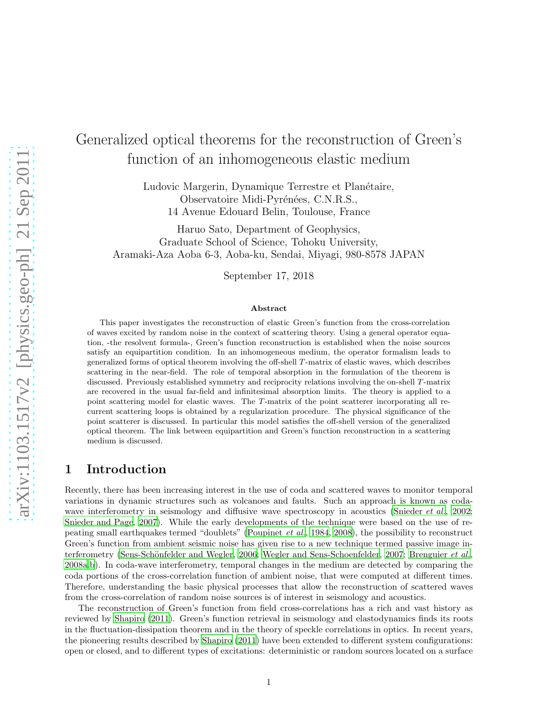# Generalized optical theorems for the reconstruction of Green's function of an inhomogeneous elastic medium

Ludovic Margerin, Dynamique Terrestre et Planétaire, Observatoire Midi-Pyrénées, C.N.R.S., 14 Avenue Edouard Belin, Toulouse, France

Haruo Sato, Department of Geophysics, Graduate School of Science, Tohoku University, Aramaki-Aza Aoba 6-3, Aoba-ku, Sendai, Miyagi, 980-8578 JAPAN

September 17, 2018

#### Abstract

This paper investigates the reconstruction of elastic Green's function from the cross-correlation of waves excited by random noise in the context of scattering theory. Using a general operator equation, -the resolvent formula-, Green's function reconstruction is established when the noise sources satisfy an equipartition condition. In an inhomogeneous medium, the operator formalism leads to generalized forms of optical theorem involving the off-shell T -matrix of elastic waves, which describes scattering in the near-field. The role of temporal absorption in the formulation of the theorem is discussed. Previously established symmetry and reciprocity relations involving the on-shell T -matrix are recovered in the usual far-field and infinitesimal absorption limits. The theory is applied to a point scattering model for elastic waves. The T-matrix of the point scatterer incorporating all recurrent scattering loops is obtained by a regularization procedure. The physical significance of the point scatterer is discussed. In particular this model satisfies the off-shell version of the generalized optical theorem. The link between equipartition and Green's function reconstruction in a scattering medium is discussed.

## 1 Introduction

Recently, there has been increasing interest in the use of coda and scattered waves to monitor temporal variations in dynamic structures such as volcanoes and faults. Such an approach is known as coda-wave interferometry in seismology and diffusive wave spectroscopy in acoustics [\(Snieder](#page-25-0) *et al.*, [2002;](#page-25-0) [Snieder and Page, 2007\)](#page-25-1). While the early developments of the technique were based on the use of repeating small earthquakes termed "doublets" [\(Poupinet](#page-24-0) et al., [1984,](#page-24-0) [2008](#page-24-1)), the possibility to reconstruct Green's function from ambient seismic noise has given rise to a new technique termed passive image in-terferometry (Sens-Schönfelder and Wegler, [2006;](#page-25-2) Wegler and [Sens-Schoenfelder, 2007;](#page-26-0) [Brenguier](#page-24-2) et al., [2008a](#page-24-2)[,b](#page-24-3)). In coda-wave interferometry, temporal changes in the medium are detected by comparing the coda portions of the cross-correlation function of ambient noise, that were computed at different times. Therefore, understanding the basic physical processes that allow the reconstruction of scattered waves from the cross-correlation of random noise sources is of interest in seismology and acoustics.

The reconstruction of Green's function from field cross-correlations has a rich and vast history as reviewed by [Shapiro \(2011\)](#page-25-3). Green's function retrieval in seismology and elastodynamics finds its roots in the fluctuation-dissipation theorem and in the theory of speckle correlations in optics. In recent years, the pioneering results described by [Shapiro \(2011\)](#page-25-3) have been extended to different system configurations: open or closed, and to different types of excitations: deterministic or random sources located on a surface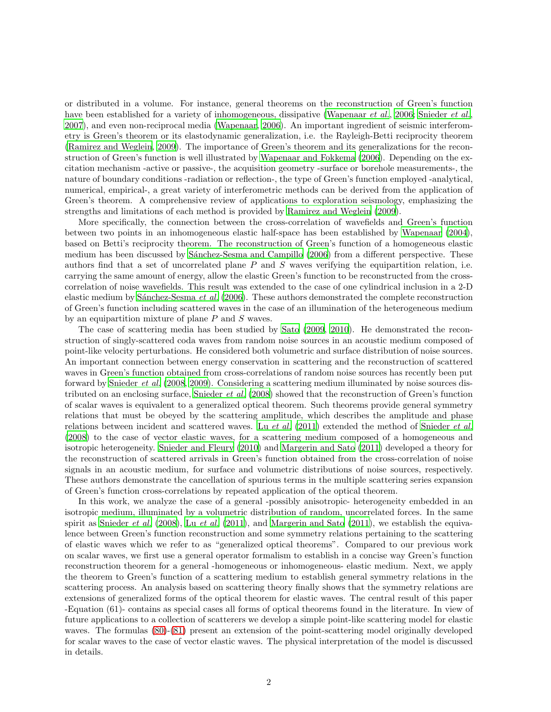or distributed in a volume. For instance, general theorems on the reconstruction of Green's function have been established for a variety of inhomogeneous, dissipative [\(Wapenaar](#page-25-4) *et al.*, [2006;](#page-25-4) [Snieder](#page-25-5) *et al.*, [2007\)](#page-25-5), and even non-reciprocal media [\(Wapenaar, 2006\)](#page-25-6). An important ingredient of seismic interferometry is Green's theorem or its elastodynamic generalization, i.e. the Rayleigh-Betti reciprocity theorem [\(Ramirez and Weglein](#page-24-4), [2009](#page-24-4)). The importance of Green's theorem and its generalizations for the reconstruction of Green's function is well illustrated by [Wapenaar and Fokkema \(2006\)](#page-25-7). Depending on the excitation mechanism -active or passive-, the acquisition geometry -surface or borehole measurements-, the nature of boundary conditions -radiation or reflection-, the type of Green's function employed -analytical, numerical, empirical-, a great variety of interferometric methods can be derived from the application of Green's theorem. A comprehensive review of applications to exploration seismology, emphasizing the strengths and limitations of each method is provided by [Ramirez and Weglein \(2009\)](#page-24-4).

More specifically, the connection between the cross-correlation of wavefields and Green's function between two points in an inhomogeneous elastic half-space has been established by [Wapenaar \(2004\)](#page-25-8), based on Betti's reciprocity theorem. The reconstruction of Green's function of a homogeneous elastic medium has been discussed by Sánchez-Sesma and Campillo (2006) from a different perspective. These authors find that a set of uncorrelated plane  $P$  and  $S$  waves verifying the equipartition relation, i.e. carrying the same amount of energy, allow the elastic Green's function to be reconstructed from the crosscorrelation of noise wavefields. This result was extended to the case of one cylindrical inclusion in a 2-D elastic medium by Sánchez-Sesma et al.  $(2006)$ . These authors demonstrated the complete reconstruction of Green's function including scattered waves in the case of an illumination of the heterogeneous medium by an equipartition mixture of plane P and S waves.

The case of scattering media has been studied by [Sato \(2009,](#page-25-11) [2010\)](#page-25-12). He demonstrated the reconstruction of singly-scattered coda waves from random noise sources in an acoustic medium composed of point-like velocity perturbations. He considered both volumetric and surface distribution of noise sources. An important connection between energy conservation in scattering and the reconstruction of scattered waves in Green's function obtained from cross-correlations of random noise sources has recently been put forward by [Snieder](#page-25-13) et al. [\(2008,](#page-25-13) [2009\)](#page-25-14). Considering a scattering medium illuminated by noise sources distributed on an enclosing surface, [Snieder](#page-25-13) et al. [\(2008\)](#page-25-13) showed that the reconstruction of Green's function of scalar waves is equivalent to a generalized optical theorem. Such theorems provide general symmetry relations that must be obeyed by the scattering amplitude, which describes the amplitude and phase relations between incident and scattered waves. Lu [et al.](#page-24-5) [\(2011\)](#page-24-5) extended the method of [Snieder](#page-25-13) et al. [\(2008\)](#page-25-13) to the case of vector elastic waves, for a scattering medium composed of a homogeneous and isotropic heterogeneity. [Snieder and Fleury \(2010\)](#page-25-15) and [Margerin and Sato \(2011\)](#page-24-6) developed a theory for the reconstruction of scattered arrivals in Green's function obtained from the cross-correlation of noise signals in an acoustic medium, for surface and volumetric distributions of noise sources, respectively. These authors demonstrate the cancellation of spurious terms in the multiple scattering series expansion of Green's function cross-correlations by repeated application of the optical theorem.

In this work, we analyze the case of a general -possibly anisotropic- heterogeneity embedded in an isotropic medium, illuminated by a volumetric distribution of random, uncorrelated forces. In the same spirit as [Snieder](#page-25-13) et al. [\(2008](#page-25-13)), Lu [et al.](#page-24-5) [\(2011](#page-24-5)), and [Margerin and Sato \(2011\)](#page-24-6), we establish the equivalence between Green's function reconstruction and some symmetry relations pertaining to the scattering of elastic waves which we refer to as "generalized optical theorems". Compared to our previous work on scalar waves, we first use a general operator formalism to establish in a concise way Green's function reconstruction theorem for a general -homogeneous or inhomogeneous- elastic medium. Next, we apply the theorem to Green's function of a scattering medium to establish general symmetry relations in the scattering process. An analysis based on scattering theory finally shows that the symmetry relations are extensions of generalized forms of the optical theorem for elastic waves. The central result of this paper -Equation (61)- contains as special cases all forms of optical theorems found in the literature. In view of future applications to a collection of scatterers we develop a simple point-like scattering model for elastic waves. The formulas [\(80\)](#page-18-0)-[\(81\)](#page-18-1) present an extension of the point-scattering model originally developed for scalar waves to the case of vector elastic waves. The physical interpretation of the model is discussed in details.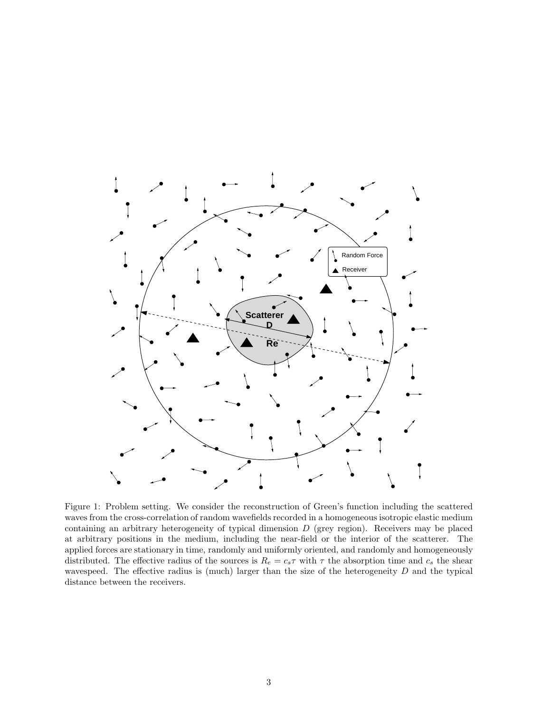

<span id="page-2-0"></span>Figure 1: Problem setting. We consider the reconstruction of Green's function including the scattered waves from the cross-correlation of random wavefields recorded in a homogeneous isotropic elastic medium containing an arbitrary heterogeneity of typical dimension D (grey region). Receivers may be placed at arbitrary positions in the medium, including the near-field or the interior of the scatterer. The applied forces are stationary in time, randomly and uniformly oriented, and randomly and homogeneously distributed. The effective radius of the sources is  $R_e = c_s \tau$  with  $\tau$  the absorption time and  $c_s$  the shear wavespeed. The effective radius is (much) larger than the size of the heterogeneity  $D$  and the typical distance between the receivers.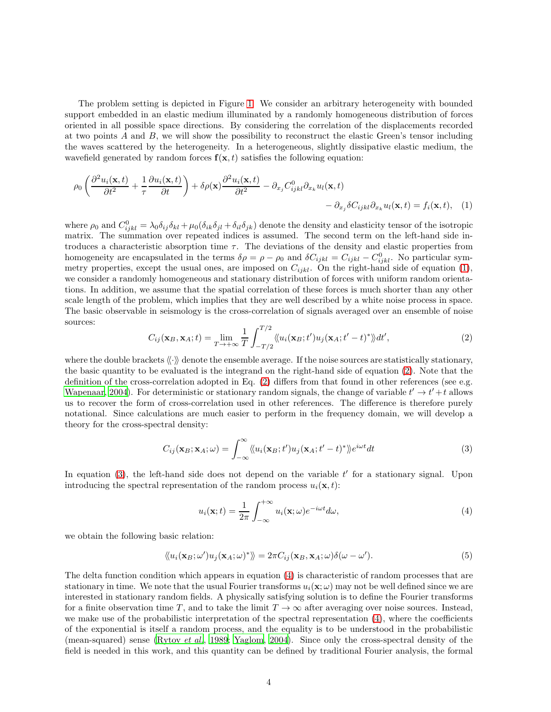The problem setting is depicted in Figure [1.](#page-2-0) We consider an arbitrary heterogeneity with bounded support embedded in an elastic medium illuminated by a randomly homogeneous distribution of forces oriented in all possible space directions. By considering the correlation of the displacements recorded at two points  $A$  and  $B$ , we will show the possibility to reconstruct the elastic Green's tensor including the waves scattered by the heterogeneity. In a heterogeneous, slightly dissipative elastic medium, the wavefield generated by random forces  $f(x, t)$  satisfies the following equation:

$$
\rho_0 \left( \frac{\partial^2 u_i(\mathbf{x},t)}{\partial t^2} + \frac{1}{\tau} \frac{\partial u_i(\mathbf{x},t)}{\partial t} \right) + \delta \rho(\mathbf{x}) \frac{\partial^2 u_i(\mathbf{x},t)}{\partial t^2} - \partial_{x_j} C_{ijkl}^0 \partial_{x_k} u_l(\mathbf{x},t) - \partial_{x_j} \delta C_{ijkl} \partial_{x_k} u_l(\mathbf{x},t) = f_i(\mathbf{x},t), \quad (1)
$$

where  $\rho_0$  and  $C_{ijkl}^0 = \lambda_0 \delta_{ij} \delta_{kl} + \mu_0 (\delta_{ik} \delta_{jl} + \delta_{il} \delta_{jk})$  denote the density and elasticity tensor of the isotropic matrix. The summation over repeated indices is assumed. The second term on the left-hand side introduces a characteristic absorption time  $\tau$ . The deviations of the density and elastic properties from homogeneity are encapsulated in the terms  $\delta \rho = \rho - \rho_0$  and  $\delta C_{ijkl} = C_{ijkl} - C_{ijkl}^0$ . No particular symmetry properties, except the usual ones, are imposed on  $C_{ijkl}$ . On the right-hand side of equation [\(1\)](#page-3-0), we consider a randomly homogeneous and stationary distribution of forces with uniform random orientations. In addition, we assume that the spatial correlation of these forces is much shorter than any other scale length of the problem, which implies that they are well described by a white noise process in space. The basic observable in seismology is the cross-correlation of signals averaged over an ensemble of noise sources:

<span id="page-3-1"></span><span id="page-3-0"></span>
$$
C_{ij}(\mathbf{x}_B, \mathbf{x}_A; t) = \lim_{T \to +\infty} \frac{1}{T} \int_{-T/2}^{T/2} \langle\!\langle u_i(\mathbf{x}_B; t')u_j(\mathbf{x}_A; t'-t)^* \rangle\!\rangle dt',\tag{2}
$$

where the double brackets  $\langle \cdot \rangle$  denote the ensemble average. If the noise sources are statistically stationary, the basic quantity to be evaluated is the integrand on the right-hand side of equation [\(2\)](#page-3-1). Note that the definition of the cross-correlation adopted in Eq. [\(2\)](#page-3-1) differs from that found in other references (see e.g. [Wapenaar](#page-25-8), [2004\)](#page-25-8). For deterministic or stationary random signals, the change of variable  $t' \rightarrow t' + t$  allows us to recover the form of cross-correlation used in other references. The difference is therefore purely notational. Since calculations are much easier to perform in the frequency domain, we will develop a theory for the cross-spectral density:

<span id="page-3-2"></span>
$$
C_{ij}(\mathbf{x}_B; \mathbf{x}_A; \omega) = \int_{-\infty}^{\infty} \langle u_i(\mathbf{x}_B; t') u_j(\mathbf{x}_A; t'-t)^* \rangle e^{i\omega t} dt \tag{3}
$$

In equation  $(3)$ , the left-hand side does not depend on the variable  $t'$  for a stationary signal. Upon introducing the spectral representation of the random process  $u_i(\mathbf{x}, t)$ :

<span id="page-3-3"></span>
$$
u_i(\mathbf{x};t) = \frac{1}{2\pi} \int_{-\infty}^{+\infty} u_i(\mathbf{x};\omega) e^{-i\omega t} d\omega,
$$
\n(4)

we obtain the following basic relation:

$$
\langle\!\langle u_i(\mathbf{x}_B;\omega')u_j(\mathbf{x}_A;\omega)^*\rangle\!\rangle = 2\pi C_{ij}(\mathbf{x}_B,\mathbf{x}_A;\omega)\delta(\omega-\omega').\tag{5}
$$

The delta function condition which appears in equation [\(4\)](#page-3-3) is characteristic of random processes that are stationary in time. We note that the usual Fourier transforms  $u_i(\mathbf{x}; \omega)$  may not be well defined since we are interested in stationary random fields. A physically satisfying solution is to define the Fourier transforms for a finite observation time T, and to take the limit  $T \to \infty$  after averaging over noise sources. Instead, we make use of the probabilistic interpretation of the spectral representation [\(4\)](#page-3-3), where the coefficients of the exponential is itself a random process, and the equality is to be understood in the probabilistic (mean-squared) sense [\(Rytov](#page-25-16) et al., [1989;](#page-25-16) [Yaglom, 2004\)](#page-26-1). Since only the cross-spectral density of the field is needed in this work, and this quantity can be defined by traditional Fourier analysis, the formal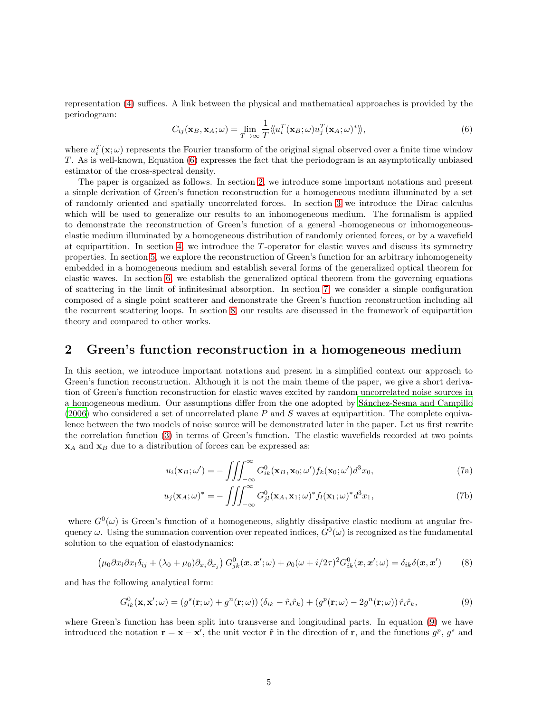representation [\(4\)](#page-3-3) suffices. A link between the physical and mathematical approaches is provided by the periodogram:

<span id="page-4-0"></span>
$$
C_{ij}(\mathbf{x}_B, \mathbf{x}_A; \omega) = \lim_{T \to \infty} \frac{1}{T} \langle u_i^T(\mathbf{x}_B; \omega) u_j^T(\mathbf{x}_A; \omega)^* \rangle,
$$
(6)

where  $u_i^T(\mathbf{x};\omega)$  represents the Fourier transform of the original signal observed over a finite time window T . As is well-known, Equation [\(6\)](#page-4-0) expresses the fact that the periodogram is an asymptotically unbiased estimator of the cross-spectral density.

The paper is organized as follows. In section [2,](#page-4-1) we introduce some important notations and present a simple derivation of Green's function reconstruction for a homogeneous medium illuminated by a set of randomly oriented and spatially uncorrelated forces. In section [3](#page-6-0) we introduce the Dirac calculus which will be used to generalize our results to an inhomogeneous medium. The formalism is applied to demonstrate the reconstruction of Green's function of a general -homogeneous or inhomogeneouselastic medium illuminated by a homogeneous distribution of randomly oriented forces, or by a wavefield at equipartition. In section [4,](#page-11-0) we introduce the T -operator for elastic waves and discuss its symmetry properties. In section [5,](#page-13-0) we explore the reconstruction of Green's function for an arbitrary inhomogeneity embedded in a homogeneous medium and establish several forms of the generalized optical theorem for elastic waves. In section [6,](#page-15-0) we establish the generalized optical theorem from the governing equations of scattering in the limit of infinitesimal absorption. In section [7,](#page-17-0) we consider a simple configuration composed of a single point scatterer and demonstrate the Green's function reconstruction including all the recurrent scattering loops. In section [8,](#page-20-0) our results are discussed in the framework of equipartition theory and compared to other works.

#### <span id="page-4-1"></span>2 Green's function reconstruction in a homogeneous medium

In this section, we introduce important notations and present in a simplified context our approach to Green's function reconstruction. Although it is not the main theme of the paper, we give a short derivation of Green's function reconstruction for elastic waves excited by random uncorrelated noise sources in a homogeneous medium. Our assumptions differ from the one adopted by Sánchez-Sesma and Campillo  $(2006)$  who considered a set of uncorrelated plane P and S waves at equipartition. The complete equivalence between the two models of noise source will be demonstrated later in the paper. Let us first rewrite the correlation function [\(3\)](#page-3-2) in terms of Green's function. The elastic wavefields recorded at two points  $x_A$  and  $x_B$  due to a distribution of forces can be expressed as:

<span id="page-4-3"></span>
$$
u_i(\mathbf{x}_B; \omega') = -\iiint_{-\infty}^{\infty} G_{ik}^0(\mathbf{x}_B, \mathbf{x}_0; \omega') f_k(\mathbf{x}_0; \omega') d^3 x_0,
$$
 (7a)

$$
u_j(\mathbf{x}_A;\omega)^* = -\iiint_{-\infty}^{\infty} G_{jl}^0(\mathbf{x}_A,\mathbf{x}_1;\omega)^* f_l(\mathbf{x}_1;\omega)^* d^3 x_1,
$$
 (7b)

where  $G^0(\omega)$  is Green's function of a homogeneous, slightly dissipative elastic medium at angular frequency  $\omega$ . Using the summation convention over repeated indices,  $G^0(\omega)$  is recognized as the fundamental solution to the equation of elastodynamics:

$$
(\mu_0 \partial x_l \partial x_l \delta_{ij} + (\lambda_0 + \mu_0) \partial_{x_i} \partial_{x_j}) G^0_{jk}(\boldsymbol{x}, \boldsymbol{x}'; \omega) + \rho_0 (\omega + i/2\tau)^2 G^0_{ik}(\boldsymbol{x}, \boldsymbol{x}'; \omega) = \delta_{ik} \delta(\boldsymbol{x}, \boldsymbol{x}') \tag{8}
$$

and has the following analytical form:

<span id="page-4-2"></span>
$$
G_{ik}^{0}(\mathbf{x}, \mathbf{x}'; \omega) = (g^{s}(\mathbf{r}; \omega) + g^{n}(\mathbf{r}; \omega)) (\delta_{ik} - \hat{r}_{i}\hat{r}_{k}) + (g^{p}(\mathbf{r}; \omega) - 2g^{n}(\mathbf{r}; \omega)) \hat{r}_{i}\hat{r}_{k},
$$
\n(9)

where Green's function has been split into transverse and longitudinal parts. In equation [\(9\)](#page-4-2) we have introduced the notation  $\mathbf{r} = \mathbf{x} - \mathbf{x}'$ , the unit vector  $\hat{\mathbf{r}}$  in the direction of  $\mathbf{r}$ , and the functions  $g^p$ ,  $g^s$  and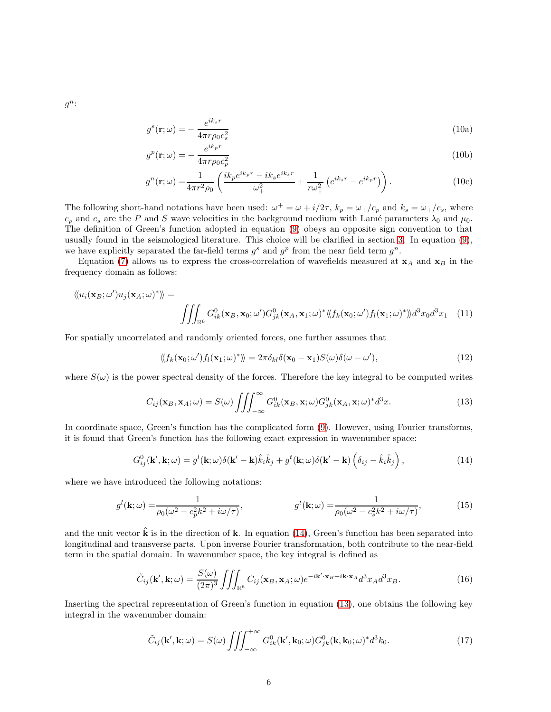$g^n$ :

$$
g^s(\mathbf{r};\omega) = -\frac{e^{ik_s r}}{4\pi r \rho_0 c_s^2}
$$
\n(10a)

$$
g^p(\mathbf{r};\omega) = -\frac{e^{ik_p r}}{4\pi r \rho_0 c_p^2}
$$
\n(10b)

<span id="page-5-5"></span>
$$
g^{n}(\mathbf{r};\omega) = \frac{1}{4\pi r^{2}\rho_{0}} \left( \frac{ik_{p}e^{ik_{p}r} - ik_{s}e^{ik_{s}r}}{\omega_{+}^{2}} + \frac{1}{r\omega_{+}^{2}} \left( e^{ik_{s}r} - e^{ik_{p}r} \right) \right). \tag{10c}
$$

The following short-hand notations have been used:  $\omega^+ = \omega + i/2\tau$ ,  $k_p = \omega_+/c_p$  and  $k_s = \omega_+/c_s$ , where  $c_p$  and  $c_s$  are the P and S wave velocities in the background medium with Lamé parameters  $\lambda_0$  and  $\mu_0$ . The definition of Green's function adopted in equation [\(9\)](#page-4-2) obeys an opposite sign convention to that usually found in the seismological literature. This choice will be clarified in section [3.](#page-6-0) In equation [\(9\)](#page-4-2), we have explicitly separated the far-field terms  $g^s$  and  $g^p$  from the near field term  $g^n$ .

Equation [\(7\)](#page-4-3) allows us to express the cross-correlation of wavefields measured at  $x_A$  and  $x_B$  in the frequency domain as follows:

$$
\langle\!\langle u_i(\mathbf{x}_B;\omega')u_j(\mathbf{x}_A;\omega)^*\rangle\!\rangle = \iiint_{\mathbb{R}^6} G_{ik}^0(\mathbf{x}_B,\mathbf{x}_0;\omega')G_{jk}^0(\mathbf{x}_A,\mathbf{x}_1;\omega)^*\langle\!\langle f_k(\mathbf{x}_0;\omega')f_l(\mathbf{x}_1;\omega)^*\rangle\!\rangle d^3x_0d^3x_1 \quad (11)
$$

For spatially uncorrelated and randomly oriented forces, one further assumes that

<span id="page-5-4"></span><span id="page-5-3"></span>
$$
\langle f_k(\mathbf{x}_0;\omega')f_l(\mathbf{x}_1;\omega)^* \rangle = 2\pi \delta_{kl}\delta(\mathbf{x}_0-\mathbf{x}_1)S(\omega)\delta(\omega-\omega'), \qquad (12)
$$

where  $S(\omega)$  is the power spectral density of the forces. Therefore the key integral to be computed writes

<span id="page-5-1"></span>
$$
C_{ij}(\mathbf{x}_B, \mathbf{x}_A; \omega) = S(\omega) \iiint_{-\infty}^{\infty} G_{ik}^0(\mathbf{x}_B, \mathbf{x}; \omega) G_{jk}^0(\mathbf{x}_A, \mathbf{x}; \omega)^* d^3x.
$$
 (13)

In coordinate space, Green's function has the complicated form [\(9\)](#page-4-2). However, using Fourier transforms, it is found that Green's function has the following exact expression in wavenumber space:

<span id="page-5-0"></span>
$$
G_{ij}^{0}(\mathbf{k}', \mathbf{k}; \omega) = g^{l}(\mathbf{k}; \omega) \delta(\mathbf{k}' - \mathbf{k}) \hat{k}_{i} \hat{k}_{j} + g^{t}(\mathbf{k}; \omega) \delta(\mathbf{k}' - \mathbf{k}) \left( \delta_{ij} - \hat{k}_{i} \hat{k}_{j} \right), \tag{14}
$$

where we have introduced the following notations:

$$
g^l(\mathbf{k};\omega) = \frac{1}{\rho_0(\omega^2 - c_p^2 k^2 + i\omega/\tau)}, \qquad g^t(\mathbf{k};\omega) = \frac{1}{\rho_0(\omega^2 - c_s^2 k^2 + i\omega/\tau)}, \qquad (15)
$$

and the unit vector  $\hat{\mathbf{k}}$  is in the direction of k. In equation [\(14\)](#page-5-0), Green's function has been separated into longitudinal and transverse parts. Upon inverse Fourier transformation, both contribute to the near-field term in the spatial domain. In wavenumber space, the key integral is defined as

$$
\tilde{C}_{ij}(\mathbf{k}', \mathbf{k}; \omega) = \frac{S(\omega)}{(2\pi)^3} \iiint_{\mathbb{R}^6} C_{ij}(\mathbf{x}_B, \mathbf{x}_A; \omega) e^{-i\mathbf{k}' \cdot \mathbf{x}_B + i\mathbf{k} \cdot \mathbf{x}_A} d^3 x_A d^3 x_B.
$$
\n(16)

Inserting the spectral representation of Green's function in equation [\(13\)](#page-5-1), one obtains the following key integral in the wavenumber domain:

<span id="page-5-2"></span>
$$
\tilde{C}_{ij}(\mathbf{k}', \mathbf{k}; \omega) = S(\omega) \iiint_{-\infty}^{+\infty} G_{ik}^0(\mathbf{k}', \mathbf{k}_0; \omega) G_{jk}^0(\mathbf{k}, \mathbf{k}_0; \omega)^* d^3 k_0.
$$
\n(17)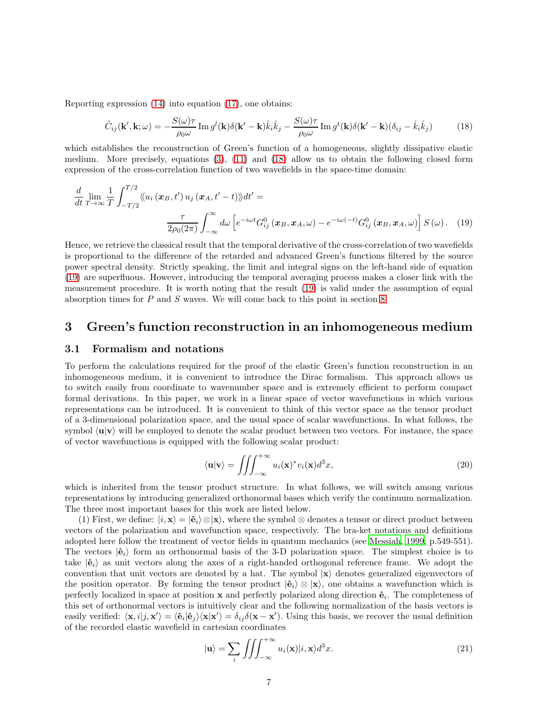Reporting expression [\(14\)](#page-5-0) into equation [\(17\)](#page-5-2), one obtains:

<span id="page-6-1"></span>
$$
\tilde{C}_{ij}(\mathbf{k}', \mathbf{k}; \omega) = -\frac{S(\omega)\tau}{\rho_0 \omega} \operatorname{Im} g^l(\mathbf{k}) \delta(\mathbf{k}' - \mathbf{k}) \hat{k}_i \hat{k}_j - \frac{S(\omega)\tau}{\rho_0 \omega} \operatorname{Im} g^t(\mathbf{k}) \delta(\mathbf{k}' - \mathbf{k}) (\delta_{ij} - \hat{k}_i \hat{k}_j)
$$
(18)

which establishes the reconstruction of Green's function of a homogeneous, slightly dissipative elastic medium. More precisely, equations [\(3\)](#page-3-2), [\(11\)](#page-5-3) and [\(18\)](#page-6-1) allow us to obtain the following closed form expression of the cross-correlation function of two wavefields in the space-time domain:

$$
\frac{d}{dt} \lim_{T \to \infty} \frac{1}{T} \int_{-T/2}^{T/2} \langle u_i(\boldsymbol{x}_B, t') u_j(\boldsymbol{x}_A, t'-t) \rangle dt' =
$$
\n
$$
\frac{\tau}{2\rho_0(2\pi)} \int_{-\infty}^{\infty} d\omega \left[ e^{-i\omega t} G_{ij}^0(\boldsymbol{x}_B, \boldsymbol{x}_A, \omega) - e^{-i\omega(-t)} G_{ij}^0(\boldsymbol{x}_B, \boldsymbol{x}_A, \omega) \right] S(\omega). \quad (19)
$$

Hence, we retrieve the classical result that the temporal derivative of the cross-correlation of two wavefields is proportional to the difference of the retarded and advanced Green's functions filtered by the source power spectral density. Strictly speaking, the limit and integral signs on the left-hand side of equation [\(19\)](#page-6-2) are superfluous. However, introducing the temporal averaging process makes a closer link with the measurement procedure. It is worth noting that the result [\(19\)](#page-6-2) is valid under the assumption of equal absorption times for P and S waves. We will come back to this point in section [8.](#page-20-0)

## <span id="page-6-0"></span>3 Green's function reconstruction in an inhomogeneous medium

#### 3.1 Formalism and notations

To perform the calculations required for the proof of the elastic Green's function reconstruction in an inhomogeneous medium, it is convenient to introduce the Dirac formalism. This approach allows us to switch easily from coordinate to wavenumber space and is extremely efficient to perform compact formal derivations. In this paper, we work in a linear space of vector wavefunctions in which various representations can be introduced. It is convenient to think of this vector space as the tensor product of a 3-dimensional polarization space, and the usual space of scalar wavefunctions. In what follows, the symbol  $\langle \mathbf{u} | \mathbf{v} \rangle$  will be employed to denote the scalar product between two vectors. For instance, the space of vector wavefunctions is equipped with the following scalar product:

<span id="page-6-2"></span>
$$
\langle \mathbf{u} | \mathbf{v} \rangle = \iiint_{-\infty}^{+\infty} u_i(\mathbf{x})^* v_i(\mathbf{x}) d^3 x,\tag{20}
$$

which is inherited from the tensor product structure. In what follows, we will switch among various representations by introducing generalized orthonormal bases which verify the continuum normalization. The three most important bases for this work are listed below.

(1) First, we define:  $|i, \mathbf{x}\rangle = |\hat{\mathbf{e}}_i\rangle \otimes |\mathbf{x}\rangle$ , where the symbol  $\otimes$  denotes a tensor or direct product between vectors of the polarization and wavefunction space, respectively. The bra-ket notations and definitions adopted here follow the treatment of vector fields in quantum mechanics (see [Messiah, 1999,](#page-24-7) p.549-551). The vectors  $|\hat{\mathbf{e}}_i\rangle$  form an orthonormal basis of the 3-D polarization space. The simplest choice is to take  $|\hat{\mathbf{e}}_i\rangle$  as unit vectors along the axes of a right-handed orthogonal reference frame. We adopt the convention that unit vectors are denoted by a hat. The symbol  $|x\rangle$  denotes generalized eigenvectors of the position operator. By forming the tensor product  $|\hat{\mathbf{e}}_i\rangle \otimes |\mathbf{x}\rangle$ , one obtains a wavefunction which is perfectly localized in space at position  $x$  and perfectly polarized along direction  $\hat{\mathbf{e}}_i$ . The completeness of this set of orthonormal vectors is intuitively clear and the following normalization of the basis vectors is easily verified:  $\langle \mathbf{x}, i | j, \mathbf{x}' \rangle = \langle \hat{\mathbf{e}}_i | \hat{\mathbf{e}}_j \rangle \langle \mathbf{x} | \mathbf{x}' \rangle = \delta_{ij} \delta(\mathbf{x} - \mathbf{x}').$  Using this basis, we recover the usual definition of the recorded elastic wavefield in cartesian coordinates

$$
|\mathbf{u}\rangle = \sum_{i} \iiint_{-\infty}^{+\infty} u_i(\mathbf{x}) |i, \mathbf{x}\rangle d^3 x.
$$
 (21)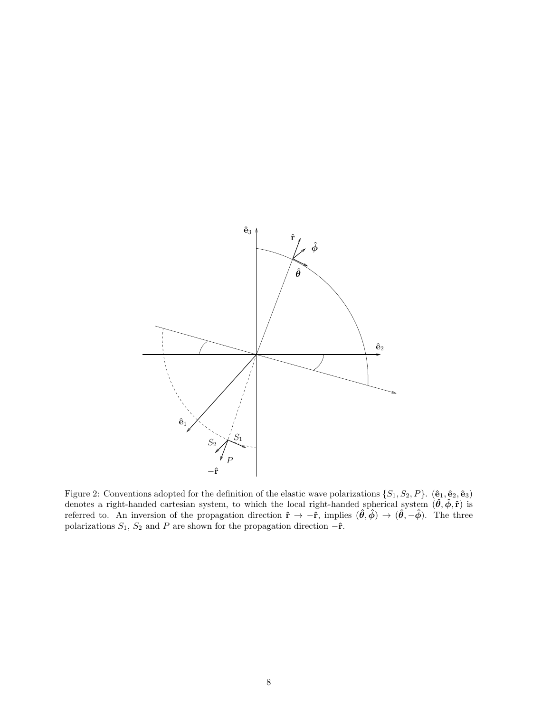

<span id="page-7-0"></span>Figure 2: Conventions adopted for the definition of the elastic wave polarizations  $\{S_1, S_2, P\}$ .  $(\hat{\mathbf{e}}_1, \hat{\mathbf{e}}_2, \hat{\mathbf{e}}_3)$ denotes a right-handed cartesian system, to which the local right-handed spherical system  $(\hat{\theta}, \hat{\phi}, \hat{r})$  is referred to. An inversion of the propagation direction  $\hat{\mathbf{r}} \to -\hat{\mathbf{r}}$ , implies  $(\hat{\theta}, \hat{\phi}) \to (\hat{\theta}, -\hat{\phi})$ . The three polarizations  $S_1$ ,  $S_2$  and P are shown for the propagation direction  $-\hat{\mathbf{r}}$ .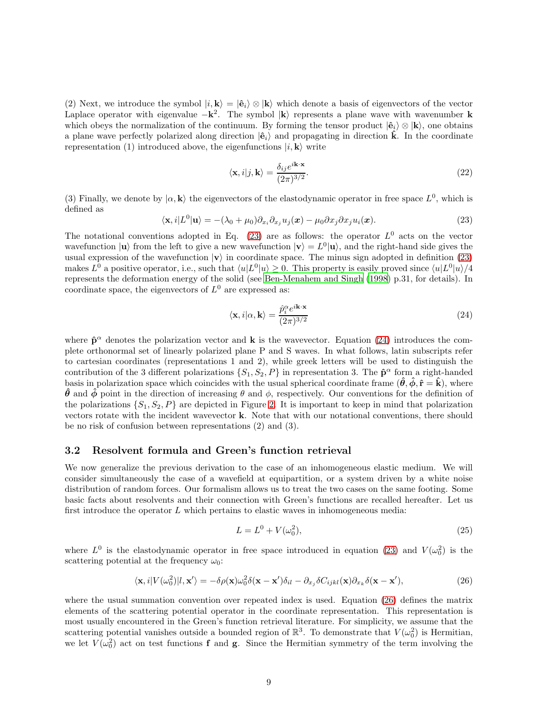(2) Next, we introduce the symbol  $|i, \mathbf{k} \rangle = |\hat{\mathbf{e}}_i \rangle \otimes |\mathbf{k} \rangle$  which denote a basis of eigenvectors of the vector Laplace operator with eigenvalue  $-k^2$ . The symbol  $|k\rangle$  represents a plane wave with wavenumber k which obeys the normalization of the continuum. By forming the tensor product  $|\hat{\mathbf{e}}_i\rangle \otimes |\mathbf{k}\rangle$ , one obtains a plane wave perfectly polarized along direction  $|\hat{\mathbf{e}}_i\rangle$  and propagating in direction  $\hat{\mathbf{k}}$ . In the coordinate representation (1) introduced above, the eigenfunctions  $|i, \mathbf{k}\rangle$  write

$$
\langle \mathbf{x}, i | j, \mathbf{k} \rangle = \frac{\delta_{ij} e^{i\mathbf{k} \cdot \mathbf{x}}}{(2\pi)^{3/2}}.
$$
\n(22)

(3) Finally, we denote by  $|\alpha, \mathbf{k}\rangle$  the eigenvectors of the elastodynamic operator in free space  $L^0$ , which is defined as

<span id="page-8-0"></span>
$$
\langle \mathbf{x}, i | L^0 | \mathbf{u} \rangle = -(\lambda_0 + \mu_0) \partial_{x_i} \partial_{x_j} u_j(\mathbf{x}) - \mu_0 \partial_{x_j} \partial_{x_j} u_i(\mathbf{x}). \tag{23}
$$

The notational conventions adopted in Eq.  $(23)$  are as follows: the operator  $L^0$  acts on the vector wavefunction  $|u\rangle$  from the left to give a new wavefunction  $|v\rangle = L^0 |u\rangle$ , and the right-hand side gives the usual expression of the wavefunction  $|v\rangle$  in coordinate space. The minus sign adopted in definition [\(23\)](#page-8-0) makes  $L^0$  a positive operator, i.e., such that  $\langle u|L^0|u\rangle \geq 0$ . This property is easily proved since  $\langle u|L^0|u\rangle/4$ represents the deformation energy of the solid (see [Ben-Menahem and Singh \(1998\)](#page-23-0) p.31, for details). In coordinate space, the eigenvectors of  $L^0$  are expressed as:

<span id="page-8-1"></span>
$$
\langle \mathbf{x}, i | \alpha, \mathbf{k} \rangle = \frac{\hat{p}_i^{\alpha} e^{i\mathbf{k} \cdot \mathbf{x}}}{(2\pi)^{3/2}}
$$
(24)

where  $\hat{\mathbf{p}}^{\alpha}$  denotes the polarization vector and **k** is the wavevector. Equation [\(24\)](#page-8-1) introduces the complete orthonormal set of linearly polarized plane P and S waves. In what follows, latin subscripts refer to cartesian coordinates (representations 1 and 2), while greek letters will be used to distinguish the contribution of the 3 different polarizations  $\{S_1, S_2, P\}$  in representation 3. The  $\hat{\mathbf{p}}^{\alpha}$  form a right-handed basis in polarization space which coincides with the usual spherical coordinate frame  $(\hat{\theta}, \hat{\phi}, \hat{r} = \hat{k})$ , where  $\hat{\theta}$  and  $\hat{\phi}$  point in the direction of increasing  $\theta$  and  $\phi$ , respectively. Our conventions for the definition of the polarizations  $\{S_1, S_2, P\}$  are depicted in Figure [2.](#page-7-0) It is important to keep in mind that polarization vectors rotate with the incident wavevector k. Note that with our notational conventions, there should be no risk of confusion between representations (2) and (3).

#### 3.2 Resolvent formula and Green's function retrieval

We now generalize the previous derivation to the case of an inhomogeneous elastic medium. We will consider simultaneously the case of a wavefield at equipartition, or a system driven by a white noise distribution of random forces. Our formalism allows us to treat the two cases on the same footing. Some basic facts about resolvents and their connection with Green's functions are recalled hereafter. Let us first introduce the operator  $L$  which pertains to elastic waves in inhomogeneous media:

$$
L = L^0 + V(\omega_0^2),
$$
\n(25)

where  $L^0$  is the elastodynamic operator in free space introduced in equation [\(23\)](#page-8-0) and  $V(\omega_0^2)$  is the scattering potential at the frequency  $\omega_0$ :

<span id="page-8-2"></span>
$$
\langle \mathbf{x}, i | V(\omega_0^2) | l, \mathbf{x}' \rangle = -\delta \rho(\mathbf{x}) \omega_0^2 \delta(\mathbf{x} - \mathbf{x}') \delta_{il} - \partial_{x_j} \delta C_{ijkl}(\mathbf{x}) \partial_{x_k} \delta(\mathbf{x} - \mathbf{x}'), \tag{26}
$$

where the usual summation convention over repeated index is used. Equation [\(26\)](#page-8-2) defines the matrix elements of the scattering potential operator in the coordinate representation. This representation is most usually encountered in the Green's function retrieval literature. For simplicity, we assume that the scattering potential vanishes outside a bounded region of  $\mathbb{R}^3$ . To demonstrate that  $V(\omega_0^2)$  is Hermitian, we let  $V(\omega_0^2)$  act on test functions **f** and **g**. Since the Hermitian symmetry of the term involving the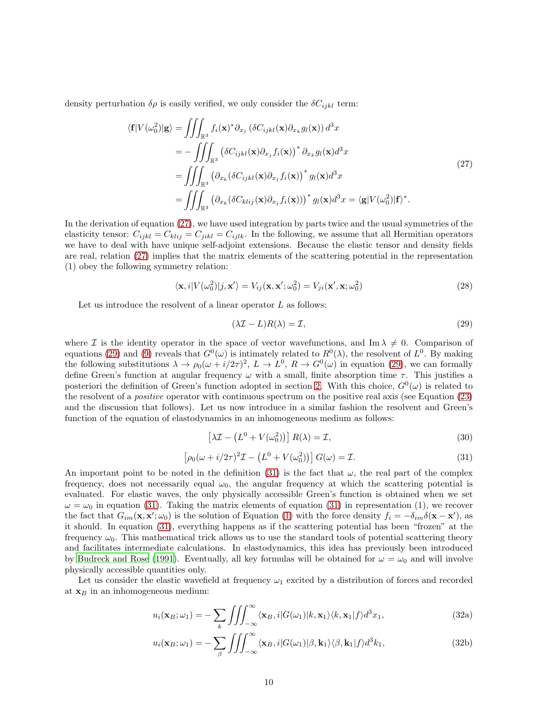<span id="page-9-0"></span>density perturbation  $\delta \rho$  is easily verified, we only consider the  $\delta C_{ijkl}$  term:

$$
\langle \mathbf{f} | V(\omega_0^2) | \mathbf{g} \rangle = \iiint_{\mathbb{R}^3} f_i(\mathbf{x})^* \partial_{x_j} (\delta C_{ijkl}(\mathbf{x}) \partial_{x_k} g_l(\mathbf{x})) d^3 x
$$
  
\n
$$
= - \iiint_{\mathbb{R}^3} (\delta C_{ijkl}(\mathbf{x}) \partial_{x_j} f_i(\mathbf{x}))^* \partial_{x_k} g_l(\mathbf{x}) d^3 x
$$
  
\n
$$
= \iiint_{\mathbb{R}^3} (\partial_{x_k} (\delta C_{ijkl}(\mathbf{x}) \partial_{x_j} f_i(\mathbf{x}))^* g_l(\mathbf{x}) d^3 x
$$
  
\n
$$
= \iiint_{\mathbb{R}^3} (\partial_{x_k} (\delta C_{klij}(\mathbf{x}) \partial_{x_j} f_i(\mathbf{x})))^* g_l(\mathbf{x}) d^3 x = \langle \mathbf{g} | V(\omega_0^2) | \mathbf{f} \rangle^*.
$$
\n(27)

In the derivation of equation [\(27\)](#page-9-0), we have used integration by parts twice and the usual symmetries of the elasticity tensor:  $C_{ijkl} = C_{klij} = C_{jik} = C_{ijlk}$ . In the following, we assume that all Hermitian operators we have to deal with have unique self-adjoint extensions. Because the elastic tensor and density fields are real, relation [\(27\)](#page-9-0) implies that the matrix elements of the scattering potential in the representation (1) obey the following symmetry relation:

$$
\langle \mathbf{x}, i | V(\omega_0^2) | j, \mathbf{x}' \rangle = V_{ij}(\mathbf{x}, \mathbf{x}'; \omega_0^2) = V_{ji}(\mathbf{x}', \mathbf{x}; \omega_0^2)
$$
 (28)

Let us introduce the resolvent of a linear operator  $L$  as follows:

<span id="page-9-1"></span>
$$
(\lambda \mathcal{I} - L)R(\lambda) = \mathcal{I},\tag{29}
$$

where I is the identity operator in the space of vector wavefunctions, and Im  $\lambda \neq 0$ . Comparison of equations [\(29\)](#page-9-1) and [\(9\)](#page-4-2) reveals that  $G^0(\omega)$  is intimately related to  $R^0(\lambda)$ , the resolvent of  $L^0$ . By making the following substitutions  $\lambda \to \rho_0(\omega + i/2\tau)^2$ ,  $L \to L^0$ ,  $R \to G^0(\omega)$  in equation [\(29\)](#page-9-1), we can formally define Green's function at angular frequency  $\omega$  with a small, finite absorption time  $\tau$ . This justifies a posteriori the definition of Green's function adopted in section [2.](#page-4-1) With this choice,  $G^0(\omega)$  is related to the resolvent of a positive operator with continuous spectrum on the positive real axis (see Equation [\(23\)](#page-8-0) and the discussion that follows). Let us now introduce in a similar fashion the resolvent and Green's function of the equation of elastodynamics in an inhomogeneous medium as follows:

<span id="page-9-5"></span>
$$
\[\lambda \mathcal{I} - \left(L^0 + V(\omega_0^2)\right)\] R(\lambda) = \mathcal{I},\tag{30}
$$

<span id="page-9-2"></span>
$$
\left[\rho_0(\omega + i/2\tau)^2 \mathcal{I} - \left(L^0 + V(\omega_0^2)\right)\right] G(\omega) = \mathcal{I}.\tag{31}
$$

An important point to be noted in the definition [\(31\)](#page-9-2) is the fact that  $\omega$ , the real part of the complex frequency, does not necessarily equal  $\omega_0$ , the angular frequency at which the scattering potential is evaluated. For elastic waves, the only physically accessible Green's function is obtained when we set  $\omega = \omega_0$  in equation [\(31\)](#page-9-2). Taking the matrix elements of equation (31) in representation (1), we recover the fact that  $G_{im}(\mathbf{x}, \mathbf{x}'; \omega_0)$  is the solution of Equation [\(1\)](#page-3-0) with the force density  $f_i = -\delta_{im}\delta(\mathbf{x} - \mathbf{x}')$ , as it should. In equation [\(31\)](#page-9-2), everything happens as if the scattering potential has been "frozen" at the frequency  $\omega_0$ . This mathematical trick allows us to use the standard tools of potential scattering theory and facilitates intermediate calculations. In elastodynamics, this idea has previously been introduced by [Budreck and Rose \(1991\)](#page-24-8). Eventually, all key formulas will be obtained for  $\omega = \omega_0$  and will involve physically accessible quantities only.

Let us consider the elastic wavefield at frequency  $\omega_1$  excited by a distribution of forces and recorded at  $x_B$  in an inhomogeneous medium:

<span id="page-9-3"></span>
$$
u_i(\mathbf{x}_B; \omega_1) = -\sum_k \iiint_{-\infty}^{\infty} \langle \mathbf{x}_B, i | G(\omega_1) | k, \mathbf{x}_1 \rangle \langle k, \mathbf{x}_1 | f \rangle d^3 x_1,
$$
(32a)

<span id="page-9-4"></span>
$$
u_i(\mathbf{x}_B; \omega_1) = -\sum_{\beta} \iiint_{-\infty}^{\infty} \langle \mathbf{x}_B, i | G(\omega_1) | \beta, \mathbf{k}_1 \rangle \langle \beta, \mathbf{k}_1 | f \rangle d^3 k_1,
$$
(32b)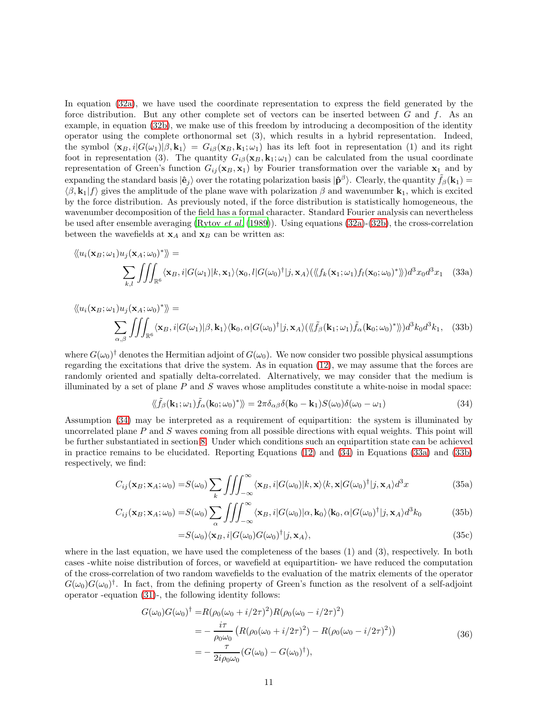In equation [\(32a\)](#page-9-3), we have used the coordinate representation to express the field generated by the force distribution. But any other complete set of vectors can be inserted between  $G$  and  $f$ . As an example, in equation [\(32b\)](#page-9-4), we make use of this freedom by introducing a decomposition of the identity operator using the complete orthonormal set (3), which results in a hybrid representation. Indeed, the symbol  $\langle \mathbf{x}_B, i|G(\omega_1)|\beta, \mathbf{k}_1 \rangle = G_{i\beta}(\mathbf{x}_B, \mathbf{k}_1; \omega_1)$  has its left foot in representation (1) and its right foot in representation (3). The quantity  $G_{i\beta}(\mathbf{x}_B, \mathbf{k}_1; \omega_1)$  can be calculated from the usual coordinate representation of Green's function  $G_{ij}(\mathbf{x}_B, \mathbf{x}_1)$  by Fourier transformation over the variable  $\mathbf{x}_1$  and by expanding the standard basis  $|\hat{\mathbf{e}}_j\rangle$  over the rotating polarization basis  $|\hat{\mathbf{p}}^{\beta}\rangle$ . Clearly, the quantity  $\tilde{f}_{\beta}(\mathbf{k}_1)$  =  $\langle \beta, \mathbf{k}_1 | f \rangle$  gives the amplitude of the plane wave with polarization  $\beta$  and wavenumber  $\mathbf{k}_1$ , which is excited by the force distribution. As previously noted, if the force distribution is statistically homogeneous, the wavenumber decomposition of the field has a formal character. Standard Fourier analysis can nevertheless be used after ensemble averaging [\(Rytov](#page-25-16) *et al.* [\(1989\)](#page-25-16)). Using equations [\(32a\)](#page-9-3)-[\(32b\)](#page-9-4), the cross-correlation between the wavefields at  $x_A$  and  $x_B$  can be written as:

$$
\langle\langle u_i(\mathbf{x}_B;\omega_1)u_j(\mathbf{x}_A;\omega_0)^*\rangle\rangle = \sum_{k,l} \iint_{\mathbb{R}^6} \langle \mathbf{x}_B,i|G(\omega_1)|k,\mathbf{x}_1\rangle \langle \mathbf{x}_0,l|G(\omega_0)^{\dagger}|j,\mathbf{x}_A\rangle (\langle\langle f_k(\mathbf{x}_1;\omega_1)f_l(\mathbf{x}_0;\omega_0)^*\rangle) d^3x_0 d^3x_1
$$
 (33a)

$$
\langle\langle u_i(\mathbf{x}_B;\omega_1)u_j(\mathbf{x}_A;\omega_0)^*\rangle\rangle = \sum_{\alpha,\beta} \iiint_{\mathbb{R}^6} \langle \mathbf{x}_B,i|G(\omega_1)|\beta,\mathbf{k}_1\rangle \langle \mathbf{k}_0,\alpha|G(\omega_0)^{\dagger}|j,\mathbf{x}_A\rangle (\langle\langle \tilde{f}_{\beta}(\mathbf{k}_1;\omega_1) \tilde{f}_{\alpha}(\mathbf{k}_0;\omega_0)^*\rangle)|d^3k_0d^3k_1, \quad (33b)
$$

where  $G(\omega_0)^\dagger$  denotes the Hermitian adjoint of  $G(\omega_0)$ . We now consider two possible physical assumptions regarding the excitations that drive the system. As in equation [\(12\)](#page-5-4), we may assume that the forces are randomly oriented and spatially delta-correlated. Alternatively, we may consider that the medium is illuminated by a set of plane  $P$  and  $S$  waves whose amplitudes constitute a white-noise in modal space:

<span id="page-10-2"></span><span id="page-10-1"></span><span id="page-10-0"></span>
$$
\langle\langle \tilde{f}_{\beta}(\mathbf{k}_1;\omega_1)\tilde{f}_{\alpha}(\mathbf{k}_0;\omega_0)^*\rangle\rangle = 2\pi \delta_{\alpha\beta}\delta(\mathbf{k}_0 - \mathbf{k}_1)S(\omega_0)\delta(\omega_0 - \omega_1)
$$
\n(34)

Assumption [\(34\)](#page-10-0) may be interpreted as a requirement of equipartition: the system is illuminated by uncorrelated plane  $P$  and  $S$  waves coming from all possible directions with equal weights. This point will be further substantiated in section [8.](#page-20-0) Under which conditions such an equipartition state can be achieved in practice remains to be elucidated. Reporting Equations [\(12\)](#page-5-4) and [\(34\)](#page-10-0) in Equations [\(33a\)](#page-10-1) and [\(33b\)](#page-10-2) respectively, we find:

$$
C_{ij}(\mathbf{x}_B; \mathbf{x}_A; \omega_0) = S(\omega_0) \sum_k \iiint_{-\infty}^{\infty} \langle \mathbf{x}_B, i | G(\omega_0) | k, \mathbf{x} \rangle \langle k, \mathbf{x} | G(\omega_0)^\dagger | j, \mathbf{x}_A \rangle d^3 x \tag{35a}
$$

$$
C_{ij}(\mathbf{x}_B; \mathbf{x}_A; \omega_0) = S(\omega_0) \sum_{\alpha} \iiint_{-\infty}^{\infty} \langle \mathbf{x}_B, i | G(\omega_0) | \alpha, \mathbf{k}_0 \rangle \langle \mathbf{k}_0, \alpha | G(\omega_0)^\dagger | j, \mathbf{x}_A \rangle d^3 k_0 \tag{35b}
$$

$$
=S(\omega_0)\langle \mathbf{x}_B, i|G(\omega_0)G(\omega_0)^\dagger|j, \mathbf{x}_A\rangle, \tag{35c}
$$

where in the last equation, we have used the completeness of the bases (1) and (3), respectively. In both cases -white noise distribution of forces, or wavefield at equipartition- we have reduced the computation of the cross-correlation of two random wavefields to the evaluation of the matrix elements of the operator  $G(\omega_0)G(\omega_0)^{\dagger}$ . In fact, from the defining property of Green's function as the resolvent of a self-adjoint operator -equation [\(31\)](#page-9-2)-, the following identity follows:

<span id="page-10-3"></span>
$$
G(\omega_0)G(\omega_0)^{\dagger} = R(\rho_0(\omega_0 + i/2\tau)^2)R(\rho_0(\omega_0 - i/2\tau)^2)
$$
  
= 
$$
-\frac{i\tau}{\rho_0\omega_0} \left( R(\rho_0(\omega_0 + i/2\tau)^2) - R(\rho_0(\omega_0 - i/2\tau)^2) \right)
$$
  
= 
$$
-\frac{\tau}{2i\rho_0\omega_0} (G(\omega_0) - G(\omega_0)^{\dagger}),
$$
 (36)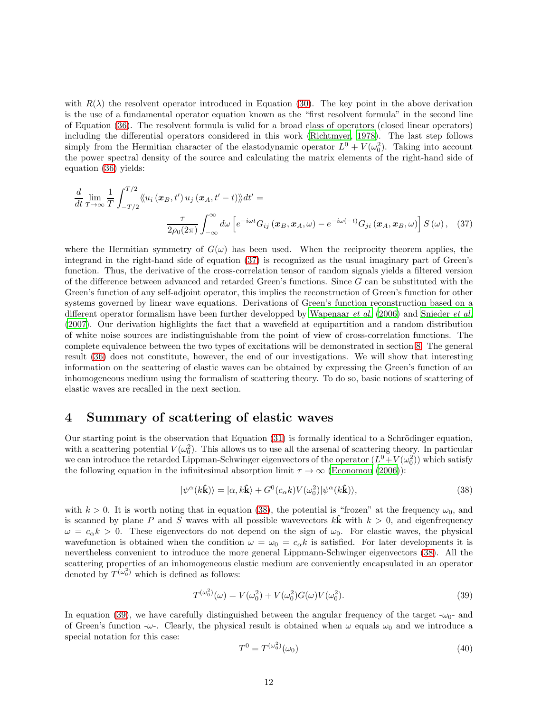with  $R(\lambda)$  the resolvent operator introduced in Equation [\(30\)](#page-9-5). The key point in the above derivation is the use of a fundamental operator equation known as the "first resolvent formula" in the second line of Equation [\(36\)](#page-10-3). The resolvent formula is valid for a broad class of operators (closed linear operators) including the differential operators considered in this work [\(Richtmyer, 1978\)](#page-24-9). The last step follows simply from the Hermitian character of the elastodynamic operator  $L^0 + V(\omega_0^2)$ . Taking into account the power spectral density of the source and calculating the matrix elements of the right-hand side of equation [\(36\)](#page-10-3) yields:

<span id="page-11-1"></span>
$$
\frac{d}{dt} \lim_{T \to \infty} \frac{1}{T} \int_{-T/2}^{T/2} \langle u_i (\boldsymbol{x}_B, t') u_j (\boldsymbol{x}_A, t' - t) \rangle dt' =
$$
\n
$$
\frac{\tau}{2\rho_0(2\pi)} \int_{-\infty}^{\infty} d\omega \left[ e^{-i\omega t} G_{ij} (\boldsymbol{x}_B, \boldsymbol{x}_A, \omega) - e^{-i\omega(-t)} G_{ji} (\boldsymbol{x}_A, \boldsymbol{x}_B, \omega) \right] S(\omega), \quad (37)
$$

where the Hermitian symmetry of  $G(\omega)$  has been used. When the reciprocity theorem applies, the integrand in the right-hand side of equation [\(37\)](#page-11-1) is recognized as the usual imaginary part of Green's function. Thus, the derivative of the cross-correlation tensor of random signals yields a filtered version of the difference between advanced and retarded Green's functions. Since G can be substituted with the Green's function of any self-adjoint operator, this implies the reconstruction of Green's function for other systems governed by linear wave equations. Derivations of Green's function reconstruction based on a different operator formalism have been further developped by [Wapenaar](#page-25-4) et al. [\(2006](#page-25-4)) and [Snieder](#page-25-5) et al. [\(2007\)](#page-25-5). Our derivation highlights the fact that a wavefield at equipartition and a random distribution of white noise sources are indistinguishable from the point of view of cross-correlation functions. The complete equivalence between the two types of excitations will be demonstrated in section [8.](#page-20-0) The general result [\(36\)](#page-10-3) does not constitute, however, the end of our investigations. We will show that interesting information on the scattering of elastic waves can be obtained by expressing the Green's function of an inhomogeneous medium using the formalism of scattering theory. To do so, basic notions of scattering of elastic waves are recalled in the next section.

#### <span id="page-11-0"></span>4 Summary of scattering of elastic waves

Our starting point is the observation that Equation  $(31)$  is formally identical to a Schrödinger equation, with a scattering potential  $V(\omega_0^2)$ . This allows us to use all the arsenal of scattering theory. In particular we can introduce the retarded Lippman-Schwinger eigenvectors of the operator  $(L^0 + V(\omega_0^2))$  which satisfy the following equation in the infinitesimal absorption limit  $\tau \to \infty$  [\(Economou \(2006](#page-24-10))):

<span id="page-11-2"></span>
$$
|\psi^{\alpha}(k\hat{\mathbf{k}})\rangle = |\alpha, k\hat{\mathbf{k}}\rangle + G^{0}(c_{\alpha}k)V(\omega_{0}^{2})|\psi^{\alpha}(k\hat{\mathbf{k}})\rangle, \tag{38}
$$

with  $k > 0$ . It is worth noting that in equation [\(38\)](#page-11-2), the potential is "frozen" at the frequency  $\omega_0$ , and is scanned by plane P and S waves with all possible wavevectors  $k\hat{k}$  with  $k > 0$ , and eigenfrequency  $\omega = c_{\alpha} k > 0$ . These eigenvectors do not depend on the sign of  $\omega_0$ . For elastic waves, the physical wavefunction is obtained when the condition  $\omega = \omega_0 = c_\alpha k$  is satisfied. For later developments it is nevertheless convenient to introduce the more general Lippmann-Schwinger eigenvectors [\(38\)](#page-11-2). All the scattering properties of an inhomogeneous elastic medium are conveniently encapsulated in an operator denoted by  $T^{(\omega_0^2)}$  which is defined as follows:

<span id="page-11-3"></span>
$$
T^{(\omega_0^2)}(\omega) = V(\omega_0^2) + V(\omega_0^2)G(\omega)V(\omega_0^2).
$$
\n(39)

In equation [\(39\)](#page-11-3), we have carefully distinguished between the angular frequency of the target - $\omega_0$ - and of Green's function - $\omega$ -. Clearly, the physical result is obtained when  $\omega$  equals  $\omega_0$  and we introduce a special notation for this case:

$$
T^0 = T^{(\omega_0^2)}(\omega_0) \tag{40}
$$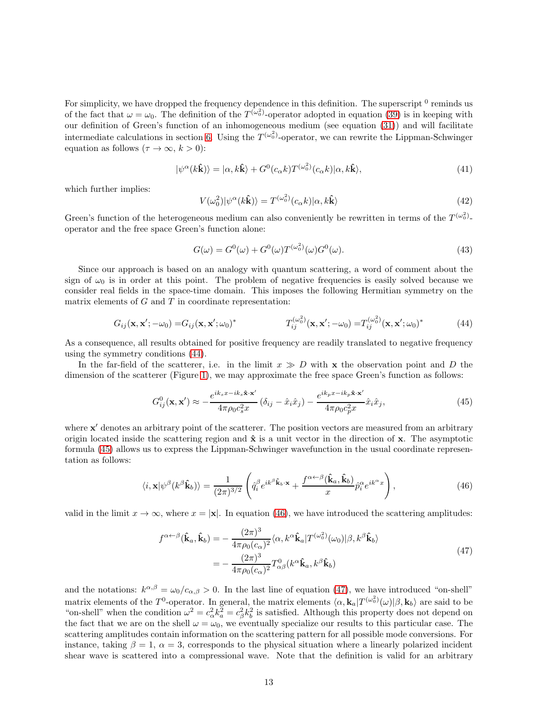For simplicity, we have dropped the frequency dependence in this definition. The superscript  $^0$  reminds us of the fact that  $\omega = \omega_0$ . The definition of the  $T^{(\omega_0^2)}$ -operator adopted in equation [\(39\)](#page-11-3) is in keeping with our definition of Green's function of an inhomogeneous medium (see equation [\(31\)](#page-9-2)) and will facilitate intermediate calculations in section [6.](#page-15-0) Using the  $T^{(\omega_0^2)}$ -operator, we can rewrite the Lippman-Schwinger equation as follows ( $\tau \to \infty$ ,  $k > 0$ ):

<span id="page-12-6"></span>
$$
|\psi^{\alpha}(k\hat{\mathbf{k}})\rangle = |\alpha, k\hat{\mathbf{k}}\rangle + G^{0}(c_{\alpha}k)T^{(\omega_{0}^{2})}(c_{\alpha}k)|\alpha, k\hat{\mathbf{k}}\rangle, \tag{41}
$$

which further implies:

<span id="page-12-5"></span>
$$
V(\omega_0^2)|\psi^\alpha(k\hat{\mathbf{k}})\rangle = T^{(\omega_0^2)}(c_\alpha k)|\alpha, k\hat{\mathbf{k}}\rangle
$$
\n(42)

Green's function of the heterogeneous medium can also conveniently be rewritten in terms of the  $T^{(\omega_0^2)}$ . operator and the free space Green's function alone:

<span id="page-12-4"></span><span id="page-12-0"></span>
$$
G(\omega) = G^{0}(\omega) + G^{0}(\omega)T^{(\omega_{0}^{2})}(\omega)G^{0}(\omega).
$$
\n(43)

Since our approach is based on an analogy with quantum scattering, a word of comment about the sign of  $\omega_0$  is in order at this point. The problem of negative frequencies is easily solved because we consider real fields in the space-time domain. This imposes the following Hermitian symmetry on the matrix elements of  $G$  and  $T$  in coordinate representation:

$$
G_{ij}(\mathbf{x}, \mathbf{x}'; -\omega_0) = G_{ij}(\mathbf{x}, \mathbf{x}'; \omega_0)^* \qquad T_{ij}^{(\omega_0^2)}(\mathbf{x}, \mathbf{x}'; -\omega_0) = T_{ij}^{(\omega_0^2)}(\mathbf{x}, \mathbf{x}'; \omega_0)^* \qquad (44)
$$

As a consequence, all results obtained for positive frequency are readily translated to negative frequency using the symmetry conditions [\(44\)](#page-12-0).

In the far-field of the scatterer, i.e. in the limit  $x \gg D$  with x the observation point and D the dimension of the scatterer (Figure [1\)](#page-2-0), we may approximate the free space Green's function as follows:

<span id="page-12-1"></span>
$$
G_{ij}^{0}(\mathbf{x}, \mathbf{x}') \approx -\frac{e^{ik_s x - ik_s \hat{\mathbf{x}} \cdot \mathbf{x}'}}{4\pi \rho_0 c_s^2 x} \left(\delta_{ij} - \hat{x}_i \hat{x}_j\right) - \frac{e^{ik_p x - ik_p \hat{\mathbf{x}} \cdot \mathbf{x}'}}{4\pi \rho_0 c_p^2 x} \hat{x}_i \hat{x}_j,
$$
(45)

where  $x'$  denotes an arbitrary point of the scatterer. The position vectors are measured from an arbitrary origin located inside the scattering region and  $\hat{\mathbf{x}}$  is a unit vector in the direction of x. The asymptotic formula [\(45\)](#page-12-1) allows us to express the Lippman-Schwinger wavefunction in the usual coordinate representation as follows:

<span id="page-12-2"></span>
$$
\langle i, \mathbf{x} | \psi^{\beta} (k^{\beta} \hat{\mathbf{k}}_b) \rangle = \frac{1}{(2\pi)^{3/2}} \left( \hat{q}_i^{\beta} e^{ik^{\beta} \hat{\mathbf{k}}_b \cdot \mathbf{x}} + \frac{f^{\alpha \leftarrow \beta} (\hat{\mathbf{k}}_a, \hat{\mathbf{k}}_b)}{x} \hat{p}_i^{\alpha} e^{ik^{\alpha} x} \right), \tag{46}
$$

valid in the limit  $x \to \infty$ , where  $x = |\mathbf{x}|$ . In equation [\(46\)](#page-12-2), we have introduced the scattering amplitudes:

$$
f^{\alpha \leftarrow \beta}(\hat{\mathbf{k}}_a, \hat{\mathbf{k}}_b) = -\frac{(2\pi)^3}{4\pi\rho_0(c_\alpha)^2} \langle \alpha, k^\alpha \hat{\mathbf{k}}_a | T^{(\omega_0^2)}(\omega_0) | \beta, k^\beta \hat{\mathbf{k}}_b \rangle
$$
  
= 
$$
-\frac{(2\pi)^3}{4\pi\rho_0(c_\alpha)^2} T^0_{\alpha\beta} (k^\alpha \hat{\mathbf{k}}_a, k^\beta \hat{\mathbf{k}}_b)
$$
(47)

<span id="page-12-3"></span>and the notations:  $k^{\alpha,\beta} = \omega_0/c_{\alpha,\beta} > 0$ . In the last line of equation [\(47\)](#page-12-3), we have introduced "on-shell" matrix elements of the T<sup>0</sup>-operator. In general, the matrix elements  $\langle \alpha, \mathbf{k}_a | T^{(\omega_0^2)}(\omega) | \beta, \mathbf{k}_b \rangle$  are said to be "on-shell" when the condition  $\omega^2 = c_\alpha^2 k_a^2 = c_\beta^2 k_b^2$  is satisfied. Although this property does not depend on the fact that we are on the shell  $\omega = \omega_0$ , we eventually specialize our results to this particular case. The scattering amplitudes contain information on the scattering pattern for all possible mode conversions. For instance, taking  $\beta = 1$ ,  $\alpha = 3$ , corresponds to the physical situation where a linearly polarized incident shear wave is scattered into a compressional wave. Note that the definition is valid for an arbitrary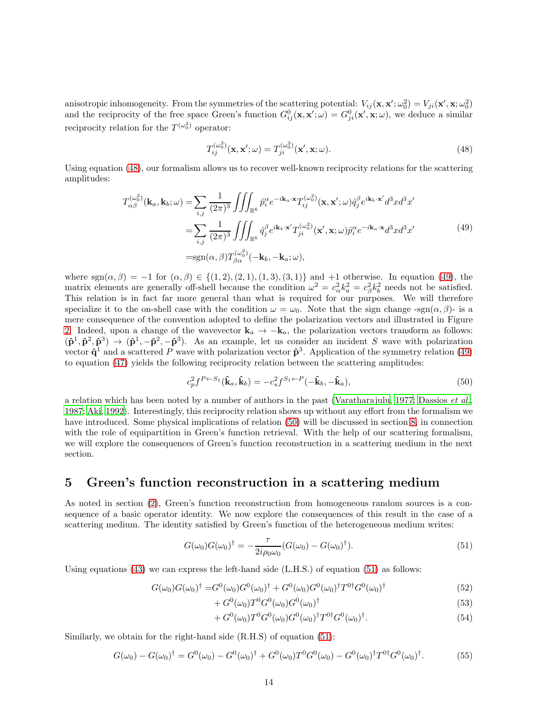anisotropic inhomogeneity. From the symmetries of the scattering potential:  $V_{ij}(\mathbf{x}, \mathbf{x}'; \omega_0^2) = V_{ji}(\mathbf{x}', \mathbf{x}; \omega_0^2)$ and the reciprocity of the free space Green's function  $G_{ij}^0(\mathbf{x}, \mathbf{x}'; \omega) = G_{ji}^0(\mathbf{x}', \mathbf{x}; \omega)$ , we deduce a similar reciprocity relation for the  $T^{(\omega_0^2)}$  operator:

<span id="page-13-1"></span>
$$
T_{ij}^{(\omega_0^2)}(\mathbf{x}, \mathbf{x}'; \omega) = T_{ji}^{(\omega_0^2)}(\mathbf{x}', \mathbf{x}; \omega).
$$
 (48)

Using equation [\(48\)](#page-13-1), our formalism allows us to recover well-known reciprocity relations for the scattering amplitudes:

$$
T_{\alpha\beta}^{(\omega_0^2)}(\mathbf{k}_a, \mathbf{k}_b; \omega) = \sum_{i,j} \frac{1}{(2\pi)^3} \iiint_{\mathbb{R}^6} \hat{p}_i^{\alpha} e^{-i\mathbf{k}_a \cdot \mathbf{x}} T_{ij}^{(\omega_0^2)}(\mathbf{x}, \mathbf{x}'; \omega) \hat{q}_j^{\beta} e^{i\mathbf{k}_b \cdot \mathbf{x}'} d^3x d^3x'
$$
  
\n
$$
= \sum_{i,j} \frac{1}{(2\pi)^3} \iiint_{\mathbb{R}^6} \hat{q}_j^{\beta} e^{i\mathbf{k}_b \cdot \mathbf{x}'} T_{ji}^{(\omega_0^2)}(\mathbf{x}', \mathbf{x}; \omega) \hat{p}_i^{\alpha} e^{-i\mathbf{k}_a \cdot \mathbf{x}} d^3x d^3x'
$$
(49)  
\n
$$
= \text{sgn}(\alpha, \beta) T_{\beta\alpha}^{(\omega_0^2)}(-\mathbf{k}_b, -\mathbf{k}_a; \omega),
$$

<span id="page-13-2"></span>where  $sgn(\alpha, \beta) = -1$  for  $(\alpha, \beta) \in \{(1, 2), (2, 1), (1, 3), (3, 1)\}\$  and  $+1$  otherwise. In equation [\(49\)](#page-13-2), the matrix elements are generally off-shell because the condition  $\omega^2 = c_\alpha^2 k_a^2 = c_\beta^2 k_b^2$  needs not be satisfied. This relation is in fact far more general than what is required for our purposes. We will therefore specialize it to the on-shell case with the condition  $\omega = \omega_0$ . Note that the sign change -sgn( $\alpha, \beta$ )- is a mere consequence of the convention adopted to define the polarization vectors and illustrated in Figure [2.](#page-7-0) Indeed, upon a change of the wavevector  $\mathbf{k}_a \to -\mathbf{k}_a$ , the polarization vectors transform as follows:  $(\hat{\mathbf{p}}^1, \hat{\mathbf{p}}^2, \hat{\mathbf{p}}^3) \rightarrow (\hat{\mathbf{p}}^1, -\hat{\mathbf{p}}^2, -\hat{\mathbf{p}}^3)$ . As an example, let us consider an incident S wave with polarization vector  $\hat{\mathbf{q}}^1$  and a scattered P wave with polarization vector  $\hat{\mathbf{p}}^3$ . Application of the symmetry relation [\(49\)](#page-13-2) to equation [\(47\)](#page-12-3) yields the following reciprocity relation between the scattering amplitudes:

<span id="page-13-3"></span>
$$
c_p^2 f^{P \leftarrow S_1}(\hat{\mathbf{k}}_a, \hat{\mathbf{k}}_b) = -c_s^2 f^{S_1 \leftarrow P}(-\hat{\mathbf{k}}_b, -\hat{\mathbf{k}}_a),
$$
\n(50)

a relation which has been noted by a number of authors in the past [\(Varatharajulu, 1977](#page-25-17); [Dassios](#page-24-11) et al., [1987;](#page-24-11) [Aki](#page-23-1), [1992\)](#page-23-1). Interestingly, this reciprocity relation shows up without any effort from the formalism we have introduced. Some physical implications of relation [\(50\)](#page-13-3) will be discussed in section [8,](#page-20-0) in connection with the role of equipartition in Green's function retrieval. With the help of our scattering formalism, we will explore the consequences of Green's function reconstruction in a scattering medium in the next section.

#### <span id="page-13-0"></span>5 Green's function reconstruction in a scattering medium

As noted in section [\(2\)](#page-4-1), Green's function reconstruction from homogeneous random sources is a consequence of a basic operator identity. We now explore the consequences of this result in the case of a scattering medium. The identity satisfied by Green's function of the heterogeneous medium writes:

<span id="page-13-4"></span>
$$
G(\omega_0)G(\omega_0)^\dagger = -\frac{\tau}{2i\rho_0\omega_0}(G(\omega_0) - G(\omega_0)^\dagger). \tag{51}
$$

Using equations  $(43)$  we can express the left-hand side  $(L.H.S.)$  of equation  $(51)$  as follows:

$$
G(\omega_0)G(\omega_0)^{\dagger} = G^0(\omega_0)G^0(\omega_0)^{\dagger} + G^0(\omega_0)G^0(\omega_0)^{\dagger}T^{0\dagger}G^0(\omega_0)^{\dagger}
$$
\n(52)

$$
+ G0(\omega0)T0G0(\omega0)G0(\omega0)\dagger
$$
\n(53)

<span id="page-13-5"></span>
$$
+ G^0(\omega_0) T^0 G^0(\omega_0) G^0(\omega_0)^\dagger T^{0\dagger} G^0(\omega_0)^\dagger. \tag{54}
$$

Similarly, we obtain for the right-hand side (R.H.S) of equation [\(51\)](#page-13-4):

$$
G(\omega_0) - G(\omega_0)^\dagger = G^0(\omega_0) - G^0(\omega_0)^\dagger + G^0(\omega_0)T^0G^0(\omega_0) - G^0(\omega_0)^\dagger T^{0\dagger}G^0(\omega_0)^\dagger. \tag{55}
$$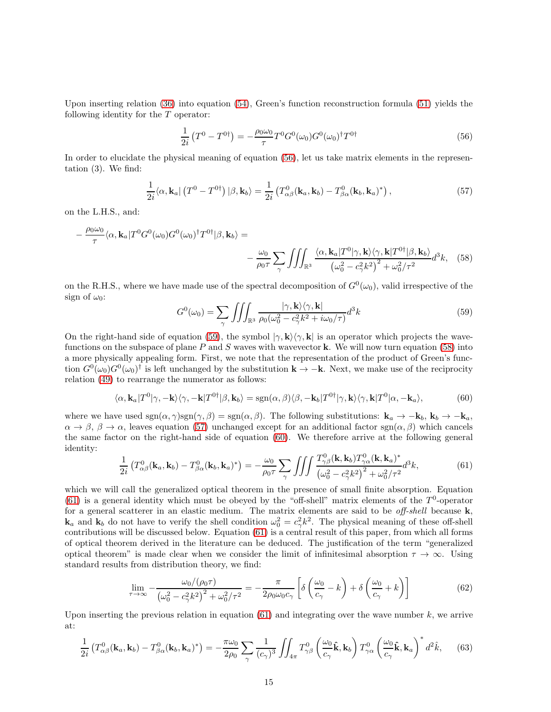Upon inserting relation [\(36\)](#page-10-3) into equation [\(54\)](#page-13-5), Green's function reconstruction formula [\(51\)](#page-13-4) yields the following identity for the T operator:

<span id="page-14-0"></span>
$$
\frac{1}{2i} \left( T^0 - T^{0\dagger} \right) = -\frac{\rho_0 \omega_0}{\tau} T^0 G^0(\omega_0) G^0(\omega_0)^\dagger T^{0\dagger} \tag{56}
$$

In order to elucidate the physical meaning of equation [\(56\)](#page-14-0), let us take matrix elements in the representation (3). We find:

<span id="page-14-3"></span>
$$
\frac{1}{2i}\langle \alpha, \mathbf{k}_a | (T^0 - T^{0\dagger}) | \beta, \mathbf{k}_b \rangle = \frac{1}{2i} (T^0_{\alpha\beta}(\mathbf{k}_a, \mathbf{k}_b) - T^0_{\beta\alpha}(\mathbf{k}_b, \mathbf{k}_a)^*) ,
$$
 (57)

on the L.H.S., and:

$$
-\frac{\rho_0\omega_0}{\tau}\langle\alpha,\mathbf{k}_a|T^0G^0(\omega_0)G^0(\omega_0)^{\dagger}T^{0\dagger}|\beta,\mathbf{k}_b\rangle = -\frac{\omega_0}{\rho_0\tau}\sum_{\gamma}\iiint_{\mathbb{R}^3}\frac{\langle\alpha,\mathbf{k}_a|T^0|\gamma,\mathbf{k}\rangle\langle\gamma,\mathbf{k}|T^{0\dagger}|\beta,\mathbf{k}_b\rangle}{(\omega_0^2-c_\gamma^2k^2)^2+\omega_0^2/\tau^2}d^3k,\quad(58)
$$

on the R.H.S., where we have made use of the spectral decomposition of  $G^0(\omega_0)$ , valid irrespective of the sign of  $\omega_0$ :

<span id="page-14-2"></span><span id="page-14-1"></span>
$$
G^{0}(\omega_{0}) = \sum_{\gamma} \iiint_{\mathbb{R}^{3}} \frac{|\gamma, \mathbf{k}\rangle\langle\gamma, \mathbf{k}|}{\rho_{0}(\omega_{0}^{2} - c_{\gamma}^{2}k^{2} + i\omega_{0}/\tau)} d^{3}k
$$
\n(59)

On the right-hand side of equation [\(59\)](#page-14-1), the symbol  $|\gamma, \mathbf{k}\rangle \langle \gamma, \mathbf{k}|$  is an operator which projects the wave-functions on the subspace of plane P and S waves with wavevector k. We will now turn equation [\(58\)](#page-14-2) into a more physically appealing form. First, we note that the representation of the product of Green's function  $G^0(\omega_0)G^0(\omega_0)$ <sup>†</sup> is left unchanged by the substitution **k** → **-k**. Next, we make use of the reciprocity relation [\(49\)](#page-13-2) to rearrange the numerator as follows:

<span id="page-14-4"></span>
$$
\langle \alpha, \mathbf{k}_a | T^0 | \gamma, -\mathbf{k} \rangle \langle \gamma, -\mathbf{k} | T^{0\dagger} | \beta, \mathbf{k}_b \rangle = \text{sgn}(\alpha, \beta) \langle \beta, -\mathbf{k}_b | T^{0\dagger} | \gamma, \mathbf{k} \rangle \langle \gamma, \mathbf{k} | T^0 | \alpha, -\mathbf{k}_a \rangle, \tag{60}
$$

where we have used  $sgn(\alpha, \gamma)sgn(\gamma, \beta) = sgn(\alpha, \beta)$ . The following substitutions:  $\mathbf{k}_a \to -\mathbf{k}_b$ ,  $\mathbf{k}_b \to -\mathbf{k}_a$ ,  $\alpha \to \beta$ ,  $\beta \to \alpha$ , leaves equation [\(57\)](#page-14-3) unchanged except for an additional factor sgn( $\alpha$ ,  $\beta$ ) which cancels the same factor on the right-hand side of equation [\(60\)](#page-14-4). We therefore arrive at the following general identity:

<span id="page-14-5"></span>
$$
\frac{1}{2i}\left(T_{\alpha\beta}^{0}(\mathbf{k}_{a},\mathbf{k}_{b})-T_{\beta\alpha}^{0}(\mathbf{k}_{b},\mathbf{k}_{a})^{*}\right)=-\frac{\omega_{0}}{\rho_{0}\tau}\sum_{\gamma}\iiint\frac{T_{\gamma\beta}^{0}(\mathbf{k},\mathbf{k}_{b})T_{\gamma\alpha}^{0}(\mathbf{k},\mathbf{k}_{a})^{*}}{\left(\omega_{0}^{2}-c_{\gamma}^{2}k^{2}\right)^{2}+\omega_{0}^{2}/\tau^{2}}d^{3}k,
$$
\n(61)

which we will call the generalized optical theorem in the presence of small finite absorption. Equation [\(61\)](#page-14-5) is a general identity which must be obeyed by the "off-shell" matrix elements of the  $T<sup>0</sup>$ -operator for a general scatterer in an elastic medium. The matrix elements are said to be off-shell because k,  $\mathbf{k}_a$  and  $\mathbf{k}_b$  do not have to verify the shell condition  $\omega_0^2 = c_\gamma^2 k^2$ . The physical meaning of these off-shell contributions will be discussed below. Equation [\(61\)](#page-14-5) is a central result of this paper, from which all forms of optical theorem derived in the literature can be deduced. The justification of the term "generalized optical theorem" is made clear when we consider the limit of infinitesimal absorption  $\tau \to \infty$ . Using standard results from distribution theory, we find:

<span id="page-14-7"></span>
$$
\lim_{\tau \to \infty} -\frac{\omega_0/(\rho_0 \tau)}{(\omega_0^2 - c_\gamma^2 k^2)^2 + \omega_0^2/\tau^2} = -\frac{\pi}{2\rho_0 \omega_0 c_\gamma} \left[ \delta \left( \frac{\omega_0}{c_\gamma} - k \right) + \delta \left( \frac{\omega_0}{c_\gamma} + k \right) \right]
$$
(62)

Upon inserting the previous relation in equation  $(61)$  and integrating over the wave number k, we arrive at:

<span id="page-14-6"></span>
$$
\frac{1}{2i} \left( T_{\alpha\beta}^{0}(\mathbf{k}_{a}, \mathbf{k}_{b}) - T_{\beta\alpha}^{0}(\mathbf{k}_{b}, \mathbf{k}_{a})^{*} \right) = -\frac{\pi\omega_{0}}{2\rho_{0}} \sum_{\gamma} \frac{1}{(c_{\gamma})^{3}} \iint_{4\pi} T_{\gamma\beta}^{0} \left( \frac{\omega_{0}}{c_{\gamma}} \hat{\mathbf{k}}, \mathbf{k}_{b} \right) T_{\gamma\alpha}^{0} \left( \frac{\omega_{0}}{c_{\gamma}} \hat{\mathbf{k}}, \mathbf{k}_{a} \right)^{*} d^{2} \hat{k}, \quad (63)
$$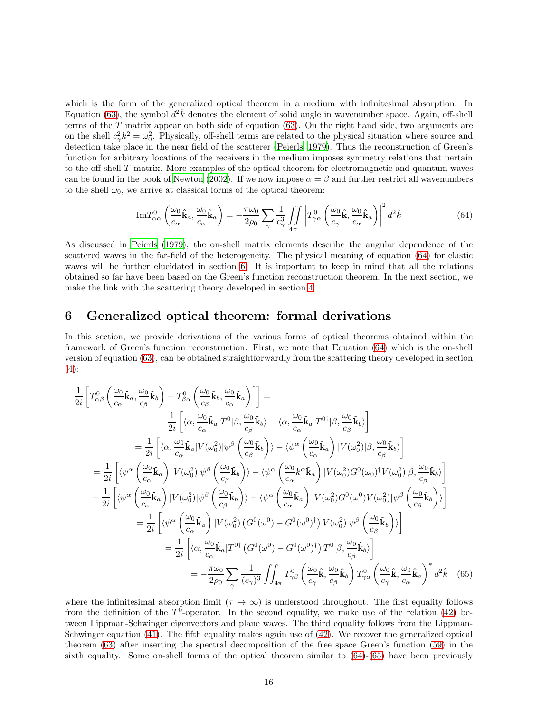which is the form of the generalized optical theorem in a medium with infinitesimal absorption. In Equation [\(63\)](#page-14-6), the symbol  $d^2\hat{k}$  denotes the element of solid angle in wavenumber space. Again, off-shell terms of the T matrix appear on both side of equation [\(63\)](#page-14-6). On the right hand side, two arguments are on the shell  $c^2_\gamma k^2 = \omega_0^2$ . Physically, off-shell terms are related to the physical situation where source and detection take place in the near field of the scatterer [\(Peierls, 1979\)](#page-24-12). Thus the reconstruction of Green's function for arbitrary locations of the receivers in the medium imposes symmetry relations that pertain to the off-shell T -matrix. More examples of the optical theorem for electromagnetic and quantum waves can be found in the book of [Newton \(2002\)](#page-24-13). If we now impose  $\alpha = \beta$  and further restrict all wavenumbers to the shell  $\omega_0$ , we arrive at classical forms of the optical theorem:

<span id="page-15-1"></span>
$$
\mathrm{Im} T_{\alpha\alpha}^{0}\left(\frac{\omega_{0}}{c_{\alpha}}\hat{\mathbf{k}}_{a},\frac{\omega_{0}}{c_{\alpha}}\hat{\mathbf{k}}_{a}\right) = -\frac{\pi\omega_{0}}{2\rho_{0}}\sum_{\gamma}\frac{1}{c_{\gamma}^{3}}\iint\limits_{4\pi}\left|T_{\gamma\alpha}^{0}\left(\frac{\omega_{0}}{c_{\gamma}}\hat{\mathbf{k}},\frac{\omega_{0}}{c_{\alpha}}\hat{\mathbf{k}}_{a}\right)\right|^{2}d^{2}\hat{k}
$$
(64)

As discussed in [Peierls \(1979\)](#page-24-12), the on-shell matrix elements describe the angular dependence of the scattered waves in the far-field of the heterogeneity. The physical meaning of equation [\(64\)](#page-15-1) for elastic waves will be further elucidated in section [6.](#page-15-0) It is important to keep in mind that all the relations obtained so far have been based on the Green's function reconstruction theorem. In the next section, we make the link with the scattering theory developed in section [4.](#page-11-0)

## <span id="page-15-0"></span>6 Generalized optical theorem: formal derivations

In this section, we provide derivations of the various forms of optical theorems obtained within the framework of Green's function reconstruction. First, we note that Equation [\(64\)](#page-15-1) which is the on-shell version of equation [\(63\)](#page-14-6), can be obtained straightforwardly from the scattering theory developed in section [\(4\)](#page-11-0):

$$
\frac{1}{2i}\left[T_{\alpha\beta}^{0}\left(\frac{\omega_{0}}{c_{\alpha}}\hat{\mathbf{k}}_{a},\frac{\omega_{0}}{c_{\beta}}\hat{\mathbf{k}}_{b}\right)-T_{\beta\alpha}^{0}\left(\frac{\omega_{0}}{c_{\beta}}\hat{\mathbf{k}}_{b},\frac{\omega_{0}}{c_{\alpha}}\hat{\mathbf{k}}_{a}\right)^{*}\right]=\n\frac{1}{2i}\left[\langle\alpha,\frac{\omega_{0}}{c_{\alpha}}\hat{\mathbf{k}}_{a}|T^{0}|\beta,\frac{\omega_{0}}{c_{\beta}}\hat{\mathbf{k}}_{b}\rangle-\langle\alpha,\frac{\omega_{0}}{c_{\alpha}}\hat{\mathbf{k}}_{a}|T^{0\dagger}|\beta,\frac{\omega_{0}}{c_{\beta}}\hat{\mathbf{k}}_{b}\rangle\right]
$$
\n
$$
=\frac{1}{2i}\left[\langle\alpha,\frac{\omega_{0}}{c_{\alpha}}\hat{\mathbf{k}}_{a}|V(\omega_{0}^{2})|\psi^{\beta}\left(\frac{\omega_{0}}{c_{\beta}}\hat{\mathbf{k}}_{b}\right)\rangle-\langle\psi^{\alpha}\left(\frac{\omega_{0}}{c_{\alpha}}\hat{\mathbf{k}}_{a}\right)|V(\omega_{0}^{2})|\beta,\frac{\omega_{0}}{c_{\beta}}\hat{\mathbf{k}}_{b}\rangle\right]
$$
\n
$$
=\frac{1}{2i}\left[\langle\psi^{\alpha}\left(\frac{\omega_{0}}{c_{\alpha}}\hat{\mathbf{k}}_{a}\right)|V(\omega_{0}^{2})|\psi^{\beta}\left(\frac{\omega_{0}}{c_{\beta}}\hat{\mathbf{k}}_{b}\right)\rangle-\langle\psi^{\alpha}\left(\frac{\omega_{0}}{c_{\alpha}}k^{\alpha}\hat{\mathbf{k}}_{a}\right)|V(\omega_{0}^{2})G^{0}(\omega_{0})\dagger V(\omega_{0}^{2})|\beta,\frac{\omega_{0}}{c_{\beta}}\hat{\mathbf{k}}_{b}\rangle\right]
$$
\n
$$
-\frac{1}{2i}\left[\langle\psi^{\alpha}\left(\frac{\omega_{0}}{c_{\alpha}}\hat{\mathbf{k}}_{a}\right)|V(\omega_{0}^{2})|\psi^{\beta}\left(\frac{\omega_{0}}{c_{\beta}}\hat{\mathbf{k}}_{b}\right)\rangle+\langle\psi^{\alpha}\left(\frac{\omega_{0}}{c_{\alpha}}\hat{\mathbf{k}}_{a}\right)|V(\omega_{0}^{2})G^{0}(\omega^{0})V(\omega
$$

<span id="page-15-2"></span>where the infinitesimal absorption limit ( $\tau \to \infty$ ) is understood throughout. The first equality follows from the definition of the  $T^0$ -operator. In the second equality, we make use of the relation [\(42\)](#page-12-5) between Lippman-Schwinger eigenvectors and plane waves. The third equality follows from the Lippman-Schwinger equation [\(41\)](#page-12-6). The fifth equality makes again use of [\(42\)](#page-12-5). We recover the generalized optical theorem [\(63\)](#page-14-6) after inserting the spectral decomposition of the free space Green's function [\(59\)](#page-14-1) in the sixth equality. Some on-shell forms of the optical theorem similar to [\(64\)](#page-15-1)-[\(65\)](#page-15-2) have been previously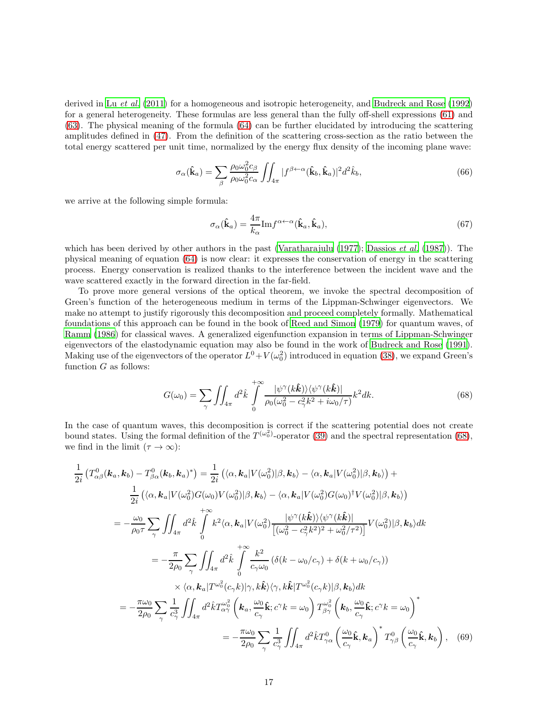derived in Lu [et al.](#page-24-5) [\(2011\)](#page-24-5) for a homogeneous and isotropic heterogeneity, and [Budreck and Rose \(1992\)](#page-24-14) for a general heterogeneity. These formulas are less general than the fully off-shell expressions [\(61\)](#page-14-5) and [\(63\)](#page-14-6). The physical meaning of the formula [\(64\)](#page-15-1) can be further elucidated by introducing the scattering amplitudes defined in [\(47\)](#page-12-3). From the definition of the scattering cross-section as the ratio between the total energy scattered per unit time, normalized by the energy flux density of the incoming plane wave:

$$
\sigma_{\alpha}(\hat{\mathbf{k}}_a) = \sum_{\beta} \frac{\rho_0 \omega_0^2 c_{\beta}}{\rho_0 \omega_0^2 c_{\alpha}} \iint_{4\pi} |f^{\beta - \alpha}(\hat{\mathbf{k}}_b, \hat{\mathbf{k}}_a)|^2 d^2 \hat{k}_b, \tag{66}
$$

we arrive at the following simple formula:

<span id="page-16-2"></span>
$$
\sigma_{\alpha}(\hat{\mathbf{k}}_a) = \frac{4\pi}{k_{\alpha}} \text{Im} f^{\alpha \leftarrow \alpha}(\hat{\mathbf{k}}_a, \hat{\mathbf{k}}_a), \tag{67}
$$

which has been derived by other authors in the past [\(Varatharajulu \(1977\)](#page-25-17); [Dassios](#page-24-11) *et al.* [\(1987\)](#page-24-11)). The physical meaning of equation [\(64\)](#page-15-1) is now clear: it expresses the conservation of energy in the scattering process. Energy conservation is realized thanks to the interference between the incident wave and the wave scattered exactly in the forward direction in the far-field.

To prove more general versions of the optical theorem, we invoke the spectral decomposition of Green's function of the heterogeneous medium in terms of the Lippman-Schwinger eigenvectors. We make no attempt to justify rigorously this decomposition and proceed completely formally. Mathematical foundations of this approach can be found in the book of [Reed and Simon \(1979](#page-24-15)) for quantum waves, of [Ramm \(1986\)](#page-24-16) for classical waves. A generalized eigenfunction expansion in terms of Lippman-Schwinger eigenvectors of the elastodynamic equation may also be found in the work of [Budreck and Rose \(1991\)](#page-24-8). Making use of the eigenvectors of the operator  $L^0 + V(\omega_0^2)$  introduced in equation [\(38\)](#page-11-2), we expand Green's function  $G$  as follows:

<span id="page-16-1"></span><span id="page-16-0"></span>
$$
G(\omega_0) = \sum_{\gamma} \iint_{4\pi} d^2 \hat{k} \int_0^{+\infty} \frac{|\psi^{\gamma}(k\hat{k})\rangle\langle\psi^{\gamma}(k\hat{k})|}{\rho_0(\omega_0^2 - c_{\gamma}^2 k^2 + i\omega_0/\tau)} k^2 dk.
$$
 (68)

In the case of quantum waves, this decomposition is correct if the scattering potential does not create bound states. Using the formal definition of the  $T^{(\omega_0^2)}$ -operator [\(39\)](#page-11-3) and the spectral representation [\(68\)](#page-16-0), we find in the limit  $(\tau \to \infty)$ :

$$
\frac{1}{2i} \left( T^{0}_{\alpha\beta}(\mathbf{k}_{a}, \mathbf{k}_{b}) - T^{0}_{\beta\alpha}(\mathbf{k}_{b}, \mathbf{k}_{a})^{*} \right) = \frac{1}{2i} \left( \langle \alpha, \mathbf{k}_{a} | V(\omega_{0}^{2}) | \beta, \mathbf{k}_{b} \rangle - \langle \alpha, \mathbf{k}_{a} | V(\omega_{0}^{2}) | \beta, \mathbf{k}_{b} \rangle \right) + \n\frac{1}{2i} \left( \langle \alpha, \mathbf{k}_{a} | V(\omega_{0}^{2}) G(\omega_{0}) V(\omega_{0}^{2}) | \beta, \mathbf{k}_{b} \rangle - \langle \alpha, \mathbf{k}_{a} | V(\omega_{0}^{2}) G(\omega_{0})^{\dagger} V(\omega_{0}^{2}) | \beta, \mathbf{k}_{b} \rangle \right) \n= -\frac{\omega_{0}}{\rho_{0} \tau} \sum_{\gamma} \iint_{4\pi} d^{2} \hat{k} \int_{0}^{+\infty} k^{2} \langle \alpha, \mathbf{k}_{a} | V(\omega_{0}^{2}) \frac{|\psi^{\gamma}(k\hat{\mathbf{k}})\rangle \langle \psi^{\gamma}(k\hat{\mathbf{k}})|}{[\omega_{0}^{2} - c_{\gamma}^{2}k^{2}]^{2} + \omega_{0}^{2}/\tau^{2}]} V(\omega_{0}^{2}) | \beta, \mathbf{k}_{b} \rangle dk \n= -\frac{\pi}{2\rho_{0}} \sum_{\gamma} \iint_{4\pi} d^{2} \hat{k} \int_{0}^{+\infty} \frac{k^{2}}{c_{\gamma}\omega_{0}} \left( \delta(k - \omega_{0}/c_{\gamma}) + \delta(k + \omega_{0}/c_{\gamma}) \right) \n\times \langle \alpha, \mathbf{k}_{a} | T^{\omega_{0}^{2}}(c_{\gamma}k) | \gamma, k\hat{k} \rangle \langle \gamma, k\hat{k} | T^{\omega_{0}^{2}}(c_{\gamma}k) | \beta, \mathbf{k}_{b} \rangle dk \n= -\frac{\pi\omega_{0}}{2\rho_{0}} \sum_{\gamma} \frac{1}{c_{\gamma}^{3}} \iint_{4\pi} d^{2} \hat{k} T^{\omega_{0}^{2}}_{\alpha\gamma} \left( \mathbf{k}_{a}, \frac{\omega_{0}}{c_{\gamma}} \hat{\mathbf{k}}; c^{\gamma} k = \omega_{0}
$$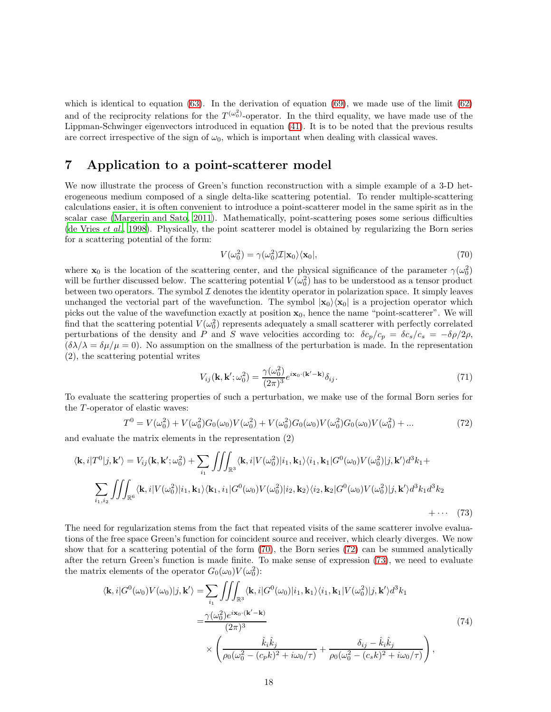which is identical to equation  $(63)$ . In the derivation of equation  $(69)$ , we made use of the limit  $(62)$ and of the reciprocity relations for the  $T^{(\omega_0^2)}$ -operator. In the third equality, we have made use of the Lippman-Schwinger eigenvectors introduced in equation [\(41\)](#page-12-6). It is to be noted that the previous results are correct irrespective of the sign of  $\omega_0$ , which is important when dealing with classical waves.

## <span id="page-17-0"></span>7 Application to a point-scatterer model

We now illustrate the process of Green's function reconstruction with a simple example of a 3-D heterogeneous medium composed of a single delta-like scattering potential. To render multiple-scattering calculations easier, it is often convenient to introduce a point-scatterer model in the same spirit as in the scalar case [\(Margerin and Sato](#page-24-6), [2011\)](#page-24-6). Mathematically, point-scattering poses some serious difficulties [\(de Vries](#page-24-17) et al., [1998\)](#page-24-17). Physically, the point scatterer model is obtained by regularizing the Born series for a scattering potential of the form:

<span id="page-17-1"></span>
$$
V(\omega_0^2) = \gamma(\omega_0^2) \mathcal{I}|\mathbf{x}_0\rangle\langle\mathbf{x}_0|,\tag{70}
$$

where  $\mathbf{x}_0$  is the location of the scattering center, and the physical significance of the parameter  $\gamma(\omega_0^2)$ will be further discussed below. The scattering potential  $V(\omega_0^2)$  has to be understood as a tensor product between two operators. The symbol  $\mathcal I$  denotes the identity operator in polarization space. It simply leaves unchanged the vectorial part of the wavefunction. The symbol  $|x_0\rangle\langle x_0|$  is a projection operator which picks out the value of the wavefunction exactly at position  $x_0$ , hence the name "point-scatterer". We will find that the scattering potential  $V(\omega_0^2)$  represents adequately a small scatterer with perfectly correlated perturbations of the density and P and S wave velocities according to:  $\delta c_p/c_p = \delta c_s/c_s = -\delta \rho/2\rho$ ,  $(\delta \lambda / \lambda = \delta \mu / \mu = 0)$ . No assumption on the smallness of the perturbation is made. In the representation (2), the scattering potential writes

<span id="page-17-4"></span><span id="page-17-3"></span>
$$
V_{ij}(\mathbf{k}, \mathbf{k}'; \omega_0^2) = \frac{\gamma(\omega_0^2)}{(2\pi)^3} e^{i\mathbf{x}_0 \cdot (\mathbf{k}' - \mathbf{k})} \delta_{ij}.
$$
\n(71)

To evaluate the scattering properties of such a perturbation, we make use of the formal Born series for the T-operator of elastic waves:

<span id="page-17-2"></span>
$$
T^{0} = V(\omega_{0}^{2}) + V(\omega_{0}^{2})G_{0}(\omega_{0})V(\omega_{0}^{2}) + V(\omega_{0}^{2})G_{0}(\omega_{0})V(\omega_{0}^{2})G_{0}(\omega_{0})V(\omega_{0}^{2}) + ...
$$
\n(72)

and evaluate the matrix elements in the representation (2)

$$
\langle \mathbf{k}, i | T^{0} | j, \mathbf{k}' \rangle = V_{ij}(\mathbf{k}, \mathbf{k}'; \omega_{0}^{2}) + \sum_{i_{1}} \iiint_{\mathbb{R}^{3}} \langle \mathbf{k}, i | V(\omega_{0}^{2}) | i_{1}, \mathbf{k}_{1} \rangle \langle i_{1}, \mathbf{k}_{1} | G^{0}(\omega_{0}) V(\omega_{0}^{2}) | j, \mathbf{k}' \rangle d^{3} k_{1} +
$$
  

$$
\sum_{i_{1}, i_{2}} \iiint_{\mathbb{R}^{6}} \langle \mathbf{k}, i | V(\omega_{0}^{2}) | i_{1}, \mathbf{k}_{1} \rangle \langle \mathbf{k}_{1}, i_{1} | G^{0}(\omega_{0}) V(\omega_{0}^{2}) | i_{2}, \mathbf{k}_{2} \rangle \langle i_{2}, \mathbf{k}_{2} | G^{0}(\omega_{0}) V(\omega_{0}^{2}) | j, \mathbf{k}' \rangle d^{3} k_{1} d^{3} k_{2} + \cdots \quad (73)
$$

The need for regularization stems from the fact that repeated visits of the same scatterer involve evaluations of the free space Green's function for coincident source and receiver, which clearly diverges. We now show that for a scattering potential of the form [\(70\)](#page-17-1), the Born series [\(72\)](#page-17-2) can be summed analytically after the return Green's function is made finite. To make sense of expression [\(73\)](#page-17-3), we need to evaluate the matrix elements of the operator  $G_0(\omega_0)V(\omega_0^2)$ :

<span id="page-17-5"></span>
$$
\langle \mathbf{k}, i | G^{0}(\omega_{0}) V(\omega_{0}) | j, \mathbf{k'} \rangle = \sum_{i_{1}} \iiint_{\mathbb{R}^{3}} \langle \mathbf{k}, i | G^{0}(\omega_{0}) | i_{1}, \mathbf{k}_{1} \rangle \langle i_{1}, \mathbf{k}_{1} | V(\omega_{0}^{2}) | j, \mathbf{k'} \rangle d^{3} k_{1}
$$

$$
= \frac{\gamma(\omega_{0}^{2}) e^{i \mathbf{x}_{0} \cdot (\mathbf{k'} - \mathbf{k})}}{(2\pi)^{3}} \qquad (74)
$$

$$
\times \left( \frac{\hat{k}_{i} \hat{k}_{j}}{\rho_{0}(\omega_{0}^{2} - (c_{p}k)^{2} + i\omega_{0}/\tau)} + \frac{\delta_{ij} - \hat{k}_{i} \hat{k}_{j}}{\rho_{0}(\omega_{0}^{2} - (c_{s}k)^{2} + i\omega_{0}/\tau)} \right),
$$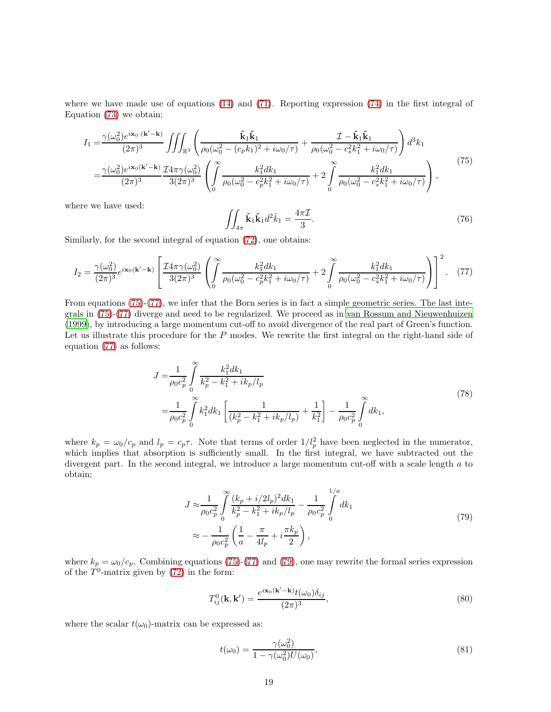where we have made use of equations [\(14\)](#page-5-0) and [\(71\)](#page-17-4). Reporting expression [\(74\)](#page-17-5) in the first integral of Equation [\(73\)](#page-17-3) we obtain:

<span id="page-18-2"></span>
$$
I_{1} = \frac{\gamma(\omega_{0}^{2})e^{i\mathbf{x}_{0}\cdot(\mathbf{k}'-\mathbf{k})}}{(2\pi)^{3}} \iiint_{\mathbb{R}^{3}} \left( \frac{\hat{\mathbf{k}}_{1}\hat{\mathbf{k}}_{1}}{\rho_{0}(\omega_{0}^{2}-(c_{p}k_{1})^{2}+i\omega_{0}/\tau)} + \frac{\mathcal{I}-\hat{\mathbf{k}}_{1}\hat{\mathbf{k}}_{1}}{\rho_{0}(\omega_{0}^{2}-c_{s}^{2}k_{1}^{2}+i\omega_{0}/\tau)} \right) d^{3}k_{1}
$$
  
= 
$$
\frac{\gamma(\omega_{0}^{2})e^{i\mathbf{x}_{0}(\mathbf{k}'-\mathbf{k})}}{(2\pi)^{3}} \frac{\mathcal{I}4\pi\gamma(\omega_{0}^{2})}{3(2\pi)^{3}} \left( \int_{0}^{\infty} \frac{k_{1}^{2}dk_{1}}{\rho_{0}(\omega_{0}^{2}-c_{p}^{2}k_{1}^{2}+i\omega_{0}/\tau)} + 2 \int_{0}^{\infty} \frac{k_{1}^{2}dk_{1}}{\rho_{0}(\omega_{0}^{2}-c_{s}^{2}k_{1}^{2}+i\omega_{0}/\tau)} \right), \tag{75}
$$

where we have used:

$$
\iint_{4\pi} \hat{\mathbf{k}}_1 \hat{\mathbf{k}}_1 d^2 \hat{k}_1 = \frac{4\pi \mathcal{I}}{3}.
$$
\n(76)

Similarly, for the second integral of equation [\(72\)](#page-17-2), one obtains:

<span id="page-18-3"></span>
$$
I_2 = \frac{\gamma(\omega_0^2)}{(2\pi)^3} e^{i\mathbf{x}_0(\mathbf{k}'-\mathbf{k})} \left[ \frac{\mathcal{I}4\pi\gamma(\omega_0^2)}{3(2\pi)^3} \left( \int_0^\infty \frac{k_1^2 dk_1}{\rho_0(\omega_0^2 - c_p^2 k_1^2 + i\omega_0/\tau)} + 2 \int_0^\infty \frac{k_1^2 dk_1}{\rho_0(\omega_0^2 - c_s^2 k_1^2 + i\omega_0/\tau)} \right) \right]^2.
$$
 (77)

From equations [\(75\)](#page-18-2)-[\(77\)](#page-18-3), we infer that the Born series is in fact a simple geometric series. The last integrals in [\(75\)](#page-18-2)-[\(77\)](#page-18-3) diverge and need to be regularized. We proceed as in [van Rossum and Nieuwenhuizen](#page-25-18) [\(1999\)](#page-25-18), by introducing a large momentum cut-off to avoid divergence of the real part of Green's function. Let us illustrate this procedure for the  $P$  modes. We rewrite the first integral on the right-hand side of equation [\(77\)](#page-18-3) as follows:

$$
J = \frac{1}{\rho_0 c_p^2} \int_0^\infty \frac{k_1^2 dk_1}{k_p^2 - k_1^2 + ik_p/l_p}
$$
  
=  $\frac{1}{\rho_0 c_p^2} \int_0^\infty k_1^2 dk_1 \left[ \frac{1}{(k_p^2 - k_1^2 + ik_p/l_p)} + \frac{1}{k_1^2} \right] - \frac{1}{\rho_0 c_p^2} \int_0^\infty dk_1,$  (78)

where  $k_p = \omega_0/c_p$  and  $l_p = c_p \tau$ . Note that terms of order  $1/l_p^2$  have been neglected in the numerator, which implies that absorption is sufficiently small. In the first integral, we have subtracted out the divergent part. In the second integral, we introduce a large momentum cut-off with a scale length a to obtain:

$$
J \approx \frac{1}{\rho_0 c_p^2} \int_0^\infty \frac{(k_p + i/2l_p)^2 dk_1}{k_p^2 - k_1^2 + ik_p/l_p} - \frac{1}{\rho_0 c_p^2} \int_0^{l/a} dk_1
$$
  

$$
\approx -\frac{1}{\rho_0 c_p^2} \left( \frac{1}{a} - \frac{\pi}{4l_p} + i \frac{\pi k_p}{2} \right),
$$
 (79)

<span id="page-18-4"></span>where  $k_p = \omega_0/c_p$ . Combining equations [\(75\)](#page-18-2)-[\(77\)](#page-18-3) and [\(79\)](#page-18-4), one may rewrite the formal series expression of the  $T^0$ -matrix given by  $(72)$  in the form:

<span id="page-18-0"></span>
$$
T_{ij}^{0}(\mathbf{k}, \mathbf{k}') = \frac{e^{i\mathbf{x}_{0}(\mathbf{k}' - \mathbf{k})}t(\omega_{0})\delta_{ij}}{(2\pi)^{3}},
$$
\n(80)

where the scalar  $t(\omega_0)$ -matrix can be expressed as:

<span id="page-18-1"></span>
$$
t(\omega_0) = \frac{\gamma(\omega_0^2)}{1 - \gamma(\omega_0^2)U(\omega_0)},\tag{81}
$$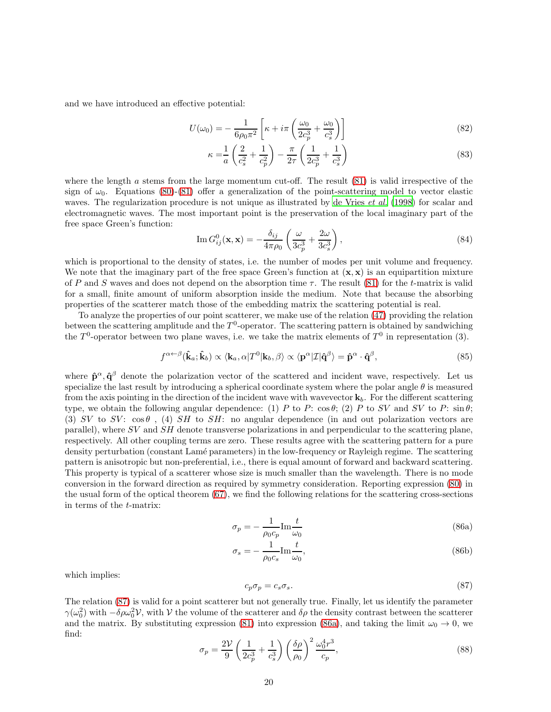and we have introduced an effective potential:

$$
U(\omega_0) = -\frac{1}{6\rho_0 \pi^2} \left[ \kappa + i\pi \left( \frac{\omega_0}{2c_p^3} + \frac{\omega_0}{c_s^3} \right) \right]
$$
(82)

$$
\kappa = \frac{1}{a} \left( \frac{2}{c_s^2} + \frac{1}{c_p^2} \right) - \frac{\pi}{2\tau} \left( \frac{1}{2c_p^3} + \frac{1}{c_s^3} \right) \tag{83}
$$

where the length  $\alpha$  stems from the large momentum cut-off. The result [\(81\)](#page-18-1) is valid irrespective of the sign of  $\omega_0$ . Equations [\(80\)](#page-18-0)-[\(81\)](#page-18-1) offer a generalization of the point-scattering model to vector elastic waves. The regularization procedure is not unique as illustrated by [de Vries](#page-24-17) *et al.* [\(1998](#page-24-17)) for scalar and electromagnetic waves. The most important point is the preservation of the local imaginary part of the free space Green's function:

<span id="page-19-2"></span>
$$
\operatorname{Im} G_{ij}^0(\mathbf{x}, \mathbf{x}) = -\frac{\delta_{ij}}{4\pi\rho_0} \left( \frac{\omega}{3c_p^3} + \frac{2\omega}{3c_s^3} \right),\tag{84}
$$

which is proportional to the density of states, i.e. the number of modes per unit volume and frequency. We note that the imaginary part of the free space Green's function at  $(x, x)$  is an equipartition mixture of P and S waves and does not depend on the absorption time  $\tau$ . The result [\(81\)](#page-18-1) for the t-matrix is valid for a small, finite amount of uniform absorption inside the medium. Note that because the absorbing properties of the scatterer match those of the embedding matrix the scattering potential is real.

To analyze the properties of our point scatterer, we make use of the relation [\(47\)](#page-12-3) providing the relation between the scattering amplitude and the  $T^0$ -operator. The scattering pattern is obtained by sandwiching the  $T^0$ -operator between two plane waves, i.e. we take the matrix elements of  $T^0$  in representation (3).

$$
f^{\alpha+\beta}(\hat{\mathbf{k}}_a; \hat{\mathbf{k}}_b) \propto \langle \mathbf{k}_a, \alpha | T^0 | \mathbf{k}_b, \beta \rangle \propto \langle \mathbf{p}^{\alpha} | \mathcal{I} | \hat{\mathbf{q}}^{\beta} \rangle = \hat{\mathbf{p}}^{\alpha} \cdot \hat{\mathbf{q}}^{\beta},
$$
\n(85)

where  $\hat{\mathbf{p}}^{\alpha}, \hat{\mathbf{q}}^{\beta}$  denote the polarization vector of the scattered and incident wave, respectively. Let us specialize the last result by introducing a spherical coordinate system where the polar angle  $\theta$  is measured from the axis pointing in the direction of the incident wave with wavevector  $\mathbf{k}_b$ . For the different scattering type, we obtain the following angular dependence: (1) P to P: cos $\theta$ ; (2) P to SV and SV to P: sin $\theta$ ; (3) SV to SV:  $\cos\theta$ , (4) SH to SH: no angular dependence (in and out polarization vectors are parallel), where SV and SH denote transverse polarizations in and perpendicular to the scattering plane, respectively. All other coupling terms are zero. These results agree with the scattering pattern for a pure density perturbation (constant Lam´e parameters) in the low-frequency or Rayleigh regime. The scattering pattern is anisotropic but non-preferential, i.e., there is equal amount of forward and backward scattering. This property is typical of a scatterer whose size is much smaller than the wavelength. There is no mode conversion in the forward direction as required by symmetry consideration. Reporting expression [\(80\)](#page-18-0) in the usual form of the optical theorem [\(67\)](#page-16-2), we find the following relations for the scattering cross-sections in terms of the t-matrix:

$$
\sigma_p = -\frac{1}{\rho_0 c_p} \text{Im} \frac{t}{\omega_0} \tag{86a}
$$

$$
\sigma_s = -\frac{1}{\rho_0 c_s} \text{Im} \frac{t}{\omega_0},\tag{86b}
$$

which implies:

<span id="page-19-1"></span><span id="page-19-0"></span>
$$
c_p \sigma_p = c_s \sigma_s. \tag{87}
$$

The relation [\(87\)](#page-19-0) is valid for a point scatterer but not generally true. Finally, let us identify the parameter  $\gamma(\omega_0^2)$  with  $-\delta\rho\omega_0^2$ V, with V the volume of the scatterer and  $\delta\rho$  the density contrast between the scatterer and the matrix. By substituting expression [\(81\)](#page-18-1) into expression [\(86a\)](#page-19-1), and taking the limit  $\omega_0 \to 0$ , we find:

$$
\sigma_p = \frac{2\mathcal{V}}{9} \left( \frac{1}{2c_p^3} + \frac{1}{c_s^3} \right) \left( \frac{\delta \rho}{\rho_0} \right)^2 \frac{\omega_0^4 r^3}{c_p},\tag{88}
$$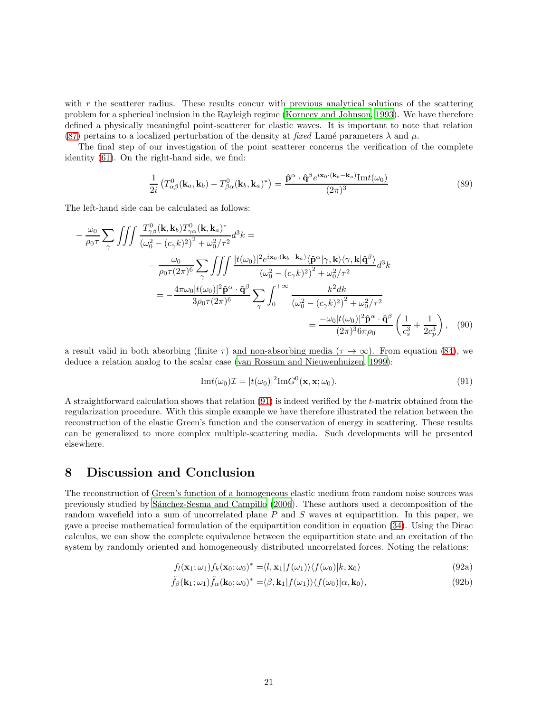with  $r$  the scatterer radius. These results concur with previous analytical solutions of the scattering problem for a spherical inclusion in the Rayleigh regime [\(Korneev and Johnson, 1993\)](#page-24-18). We have therefore defined a physically meaningful point-scatterer for elastic waves. It is important to note that relation [\(87\)](#page-19-0) pertains to a localized perturbation of the density at *fixed* Lamé parameters  $\lambda$  and  $\mu$ .

The final step of our investigation of the point scatterer concerns the verification of the complete identity [\(61\)](#page-14-5). On the right-hand side, we find:

$$
\frac{1}{2i}\left(T_{\alpha\beta}^{0}(\mathbf{k}_{a},\mathbf{k}_{b})-T_{\beta\alpha}^{0}(\mathbf{k}_{b},\mathbf{k}_{a})^{*}\right)=\frac{\hat{\mathbf{p}}^{\alpha}\cdot\hat{\mathbf{q}}^{\beta}e^{i\mathbf{x}_{0}\cdot(\mathbf{k}_{b}-\mathbf{k}_{a})}\text{Im}t(\omega_{0})}{(2\pi)^{3}}
$$
(89)

The left-hand side can be calculated as follows:

$$
-\frac{\omega_0}{\rho_0 \tau} \sum_{\gamma} \iiint \frac{T_{\gamma\beta}^0(\mathbf{k}, \mathbf{k}_b) T_{\gamma\alpha}^0(\mathbf{k}, \mathbf{k}_a)^*}{(\omega_0^2 - (c_\gamma k)^2)^2 + \omega_0^2/\tau^2} d^3k =
$$
  

$$
-\frac{\omega_0}{\rho_0 \tau (2\pi)^6} \sum_{\gamma} \iiint \frac{|t(\omega_0)|^2 e^{i\mathbf{x}_0 \cdot (\mathbf{k}_b - \mathbf{k}_a)} \langle \hat{\mathbf{p}}^{\alpha} |\gamma, \mathbf{k} \rangle \langle \gamma, \mathbf{k} | \hat{\mathbf{q}}^{\beta} \rangle}{(\omega_0^2 - (c_\gamma k)^2)^2 + \omega_0^2/\tau^2} d^3k
$$
  

$$
= -\frac{4\pi \omega_0 |t(\omega_0)|^2 \hat{\mathbf{p}}^{\alpha} \cdot \hat{\mathbf{q}}^{\beta}}{3\rho_0 \tau (2\pi)^6} \sum_{\gamma} \int_0^{+\infty} \frac{k^2 dk}{(\omega_0^2 - (c_\gamma k)^2)^2 + \omega_0^2/\tau^2}
$$
  

$$
= \frac{-\omega_0 |t(\omega_0)|^2 \hat{\mathbf{p}}^{\alpha} \cdot \hat{\mathbf{q}}^{\beta}}{(2\pi)^3 6\pi \rho_0} \left(\frac{1}{c_s^3} + \frac{1}{2c_p^3}\right), \quad (90)
$$

a result valid in both absorbing (finite  $\tau$ ) and non-absorbing media ( $\tau \to \infty$ ). From equation [\(84\)](#page-19-2), we deduce a relation analog to the scalar case [\(van Rossum and Nieuwenhuizen](#page-25-18), [1999](#page-25-18)):

<span id="page-20-1"></span>
$$
\mathrm{Im}t(\omega_0)\mathcal{I} = |t(\omega_0)|^2 \mathrm{Im}G^0(\mathbf{x}, \mathbf{x}; \omega_0). \tag{91}
$$

A straightforward calculation shows that relation [\(91\)](#page-20-1) is indeed verified by the t-matrix obtained from the regularization procedure. With this simple example we have therefore illustrated the relation between the reconstruction of the elastic Green's function and the conservation of energy in scattering. These results can be generalized to more complex multiple-scattering media. Such developments will be presented elsewhere.

#### <span id="page-20-0"></span>8 Discussion and Conclusion

The reconstruction of Green's function of a homogeneous elastic medium from random noise sources was previously studied by Sánchez-Sesma and Campillo (2006). These authors used a decomposition of the random wavefield into a sum of uncorrelated plane P and S waves at equipartition. In this paper, we gave a precise mathematical formulation of the equipartition condition in equation [\(34\)](#page-10-0). Using the Dirac calculus, we can show the complete equivalence between the equipartition state and an excitation of the system by randomly oriented and homogeneously distributed uncorrelated forces. Noting the relations:

$$
f_l(\mathbf{x}_1;\omega_1) f_k(\mathbf{x}_0;\omega_0)^* = \langle l, \mathbf{x}_1 | f(\omega_1) \rangle \langle f(\omega_0) | k, \mathbf{x}_0 \rangle \tag{92a}
$$

$$
\tilde{f}_{\beta}(\mathbf{k}_1;\omega_1)\tilde{f}_{\alpha}(\mathbf{k}_0;\omega_0)^* = \langle \beta, \mathbf{k}_1 | f(\omega_1) \rangle \langle f(\omega_0) | \alpha, \mathbf{k}_0 \rangle, \tag{92b}
$$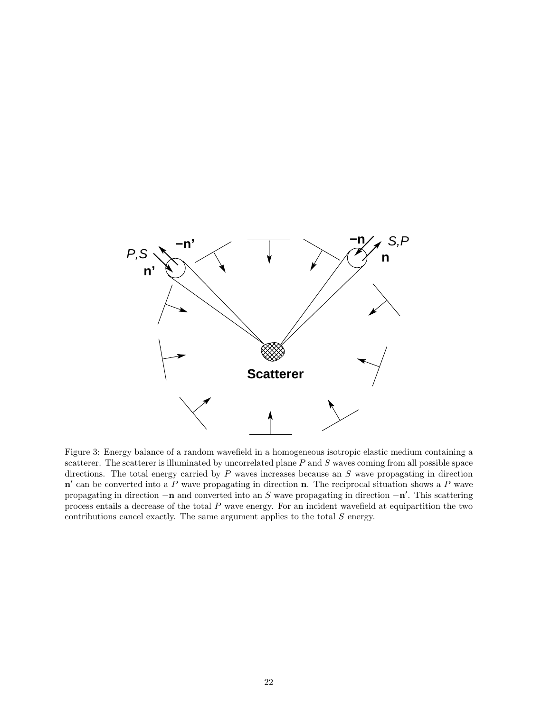

<span id="page-21-0"></span>Figure 3: Energy balance of a random wavefield in a homogeneous isotropic elastic medium containing a scatterer. The scatterer is illuminated by uncorrelated plane  $P$  and  $S$  waves coming from all possible space directions. The total energy carried by  $P$  waves increases because an  $S$  wave propagating in direction  $n'$  can be converted into a P wave propagating in direction n. The reciprocal situation shows a P wave propagating in direction  $-\mathbf{n}$  and converted into an S wave propagating in direction  $-\mathbf{n}'$ . This scattering process entails a decrease of the total  $P$  wave energy. For an incident wavefield at equipartition the two contributions cancel exactly. The same argument applies to the total  $S$  energy.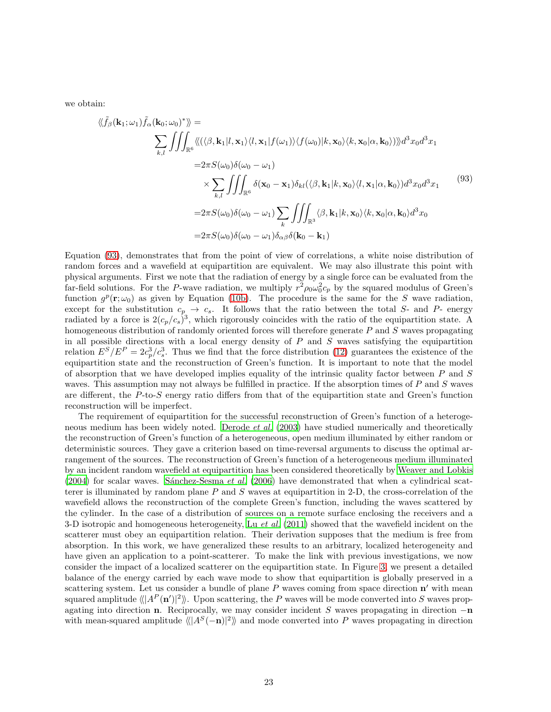we obtain:

<span id="page-22-0"></span>
$$
\langle \langle \tilde{f}_{\beta}(\mathbf{k}_{1}; \omega_{1}) \tilde{f}_{\alpha}(\mathbf{k}_{0}; \omega_{0})^{*} \rangle \rangle =
$$
\n
$$
\sum_{k,l} \iiint_{\mathbb{R}^{6}} \langle \langle (\langle \beta, \mathbf{k}_{1} | l, \mathbf{x}_{1} \rangle \langle l, \mathbf{x}_{1} | f(\omega_{1}) \rangle \langle f(\omega_{0}) | k, \mathbf{x}_{0} \rangle \langle k, \mathbf{x}_{0} | \alpha, \mathbf{k}_{0} \rangle \rangle \rangle d^{3}x_{0} d^{3}x_{1}
$$
\n
$$
= 2\pi S(\omega_{0})\delta(\omega_{0} - \omega_{1})
$$
\n
$$
\times \sum_{k,l} \iiint_{\mathbb{R}^{6}} \delta(\mathbf{x}_{0} - \mathbf{x}_{1}) \delta_{kl}(\langle \beta, \mathbf{k}_{1} | k, \mathbf{x}_{0} \rangle \langle l, \mathbf{x}_{1} | \alpha, \mathbf{k}_{0} \rangle) d^{3}x_{0} d^{3}x_{1}
$$
\n
$$
= 2\pi S(\omega_{0})\delta(\omega_{0} - \omega_{1}) \sum_{k} \iiint_{\mathbb{R}^{3}} \langle \beta, \mathbf{k}_{1} | k, \mathbf{x}_{0} \rangle \langle k, \mathbf{x}_{0} | \alpha, \mathbf{k}_{0} \rangle d^{3}x_{0}
$$
\n
$$
= 2\pi S(\omega_{0})\delta(\omega_{0} - \omega_{1}) \delta_{\alpha\beta}\delta(\mathbf{k}_{0} - \mathbf{k}_{1})
$$
\n(93)

Equation [\(93\)](#page-22-0), demonstrates that from the point of view of correlations, a white noise distribution of random forces and a wavefield at equipartition are equivalent. We may also illustrate this point with physical arguments. First we note that the radiation of energy by a single force can be evaluated from the far-field solutions. For the P-wave radiation, we multiply  $r^2 \rho_0 \omega_0^2 c_p$  by the squared modulus of Green's function  $g^p(\mathbf{r}; \omega_0)$  as given by Equation [\(10b\)](#page-5-5). The procedure is the same for the S wave radiation, except for the substitution  $c_p \to c_s$ . It follows that the ratio between the total S- and P- energy radiated by a force is  $2(c_p/c_s)^3$ , which rigorously coincides with the ratio of the equipartition state. A homogeneous distribution of randomly oriented forces will therefore generate  $P$  and  $S$  waves propagating in all possible directions with a local energy density of  $P$  and  $S$  waves satisfying the equipartition relation  $E^S/E^P = 2c_p^3/c_s^3$ . Thus we find that the force distribution [\(12\)](#page-5-4) guarantees the existence of the equipartition state and the reconstruction of Green's function. It is important to note that the model of absorption that we have developed implies equality of the intrinsic quality factor between P and S waves. This assumption may not always be fulfilled in practice. If the absorption times of P and S waves are different, the P-to-S energy ratio differs from that of the equipartition state and Green's function reconstruction will be imperfect.

The requirement of equipartition for the successful reconstruction of Green's function of a heterogeneous medium has been widely noted. [Derode](#page-24-19) et al. [\(2003\)](#page-24-19) have studied numerically and theoretically the reconstruction of Green's function of a heterogeneous, open medium illuminated by either random or deterministic sources. They gave a criterion based on time-reversal arguments to discuss the optimal arrangement of the sources. The reconstruction of Green's function of a heterogeneous medium illuminated by an incident random wavefield at equipartition has been considered theoretically by [Weaver and Lobkis](#page-26-2)  $(2004)$  for scalar waves. Sánchez-Sesma *et al.*  $(2006)$  $(2006)$  have demonstrated that when a cylindrical scatterer is illuminated by random plane  $P$  and  $S$  waves at equipartition in 2-D, the cross-correlation of the wavefield allows the reconstruction of the complete Green's function, including the waves scattered by the cylinder. In the case of a distribution of sources on a remote surface enclosing the receivers and a 3-D isotropic and homogeneous heterogeneity, Lu  $et$  al. [\(2011\)](#page-24-5) showed that the wavefield incident on the scatterer must obey an equipartition relation. Their derivation supposes that the medium is free from absorption. In this work, we have generalized these results to an arbitrary, localized heterogeneity and have given an application to a point-scatterer. To make the link with previous investigations, we now consider the impact of a localized scatterer on the equipartition state. In Figure [3,](#page-21-0) we present a detailed balance of the energy carried by each wave mode to show that equipartition is globally preserved in a scattering system. Let us consider a bundle of plane P waves coming from space direction  $n'$  with mean squared amplitude  $\langle |A^P({\bf n}')|^2 \rangle$ . Upon scattering, the P waves will be mode converted into S waves propagating into direction n. Reciprocally, we may consider incident S waves propagating in direction  $-\mathbf{n}$ with mean-squared amplitude  $\langle |A^S(-n)|^2 \rangle$  and mode converted into P waves propagating in direction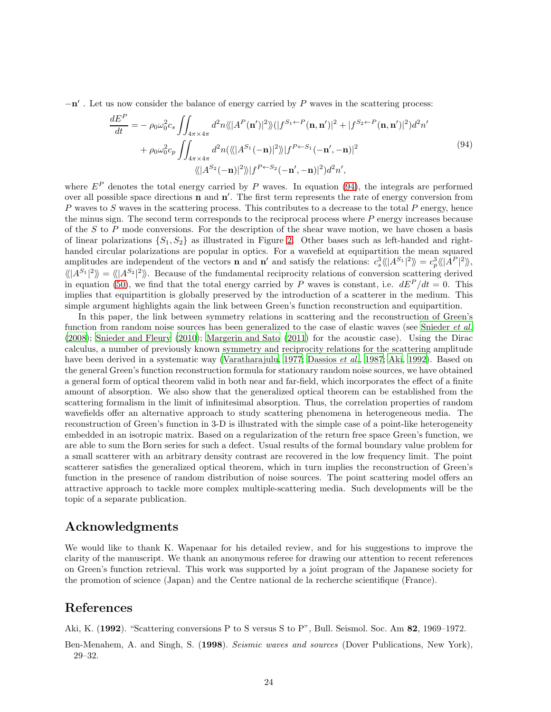<span id="page-23-2"></span> $-n'$ . Let us now consider the balance of energy carried by P waves in the scattering process:

$$
\frac{dE^{P}}{dt} = -\rho_{0}\omega_{0}^{2}c_{s} \iint_{4\pi\times4\pi} d^{2}n \langle \langle |A^{P}(\mathbf{n}')|^{2} \rangle \langle |f^{S_{1} \leftarrow P}(\mathbf{n}, \mathbf{n}')|^{2} + |f^{S_{2} \leftarrow P}(\mathbf{n}, \mathbf{n}')|^{2} \rangle d^{2}n' + \rho_{0}\omega_{0}^{2}c_{p} \iint_{4\pi\times4\pi} d^{2}n (\langle \langle |A^{S_{1}}(-\mathbf{n})|^{2} \rangle \rangle |f^{P \leftarrow S_{1}}(-\mathbf{n}', -\mathbf{n})|^{2} \langle \langle |A^{S_{2}}(-\mathbf{n})|^{2} \rangle \rangle |f^{P \leftarrow S_{2}}(-\mathbf{n}', -\mathbf{n})|^{2} d^{2}n',
$$
\n(94)

where  $E^P$  denotes the total energy carried by P waves. In equation [\(94\)](#page-23-2), the integrals are performed over all possible space directions  $\bf{n}$  and  $\bf{n}'$ . The first term represents the rate of energy conversion from  $P$  waves to  $S$  waves in the scattering process. This contributes to a decrease to the total  $P$  energy, hence the minus sign. The second term corresponds to the reciprocal process where  $P$  energy increases because of the S to P mode conversions. For the description of the shear wave motion, we have chosen a basis of linear polarizations  $\{S_1, S_2\}$  as illustrated in Figure [2.](#page-7-0) Other bases such as left-handed and righthanded circular polarizations are popular in optics. For a wavefield at equipartition the mean squared amplitudes are independent of the vectors **n** and **n'** and satisfy the relations:  $c_s^3 \langle \langle |A^{S_1}|^2 \rangle \rangle = c_p^3 \langle \langle |A^P|^2 \rangle \rangle$ ,  $\langle |A^{S_1}|^2 \rangle = \langle |A^{S_2}|^2 \rangle$ . Because of the fundamental reciprocity relations of conversion scattering derived in equation [\(50\)](#page-13-3), we find that the total energy carried by P waves is constant, i.e.  $dE^P/dt = 0$ . This implies that equipartition is globally preserved by the introduction of a scatterer in the medium. This simple argument highlights again the link between Green's function reconstruction and equipartition.

In this paper, the link between symmetry relations in scattering and the reconstruction of Green's function from random noise sources has been generalized to the case of elastic waves (see [Snieder](#page-25-13) et al. [\(2008\)](#page-25-13); [Snieder and Fleury \(2010\)](#page-25-15); [Margerin and Sato \(2011\)](#page-24-6) for the acoustic case). Using the Dirac calculus, a number of previously known symmetry and reciprocity relations for the scattering amplitude have been derived in a systematic way [\(Varatharajulu](#page-25-17), [1977;](#page-25-17) [Dassios](#page-24-11) *et al.*, [1987;](#page-24-11) [Aki](#page-23-1), [1992\)](#page-23-1). Based on the general Green's function reconstruction formula for stationary random noise sources, we have obtained a general form of optical theorem valid in both near and far-field, which incorporates the effect of a finite amount of absorption. We also show that the generalized optical theorem can be established from the scattering formalism in the limit of infinitesimal absorption. Thus, the correlation properties of random wavefields offer an alternative approach to study scattering phenomena in heterogeneous media. The reconstruction of Green's function in 3-D is illustrated with the simple case of a point-like heterogeneity embedded in an isotropic matrix. Based on a regularization of the return free space Green's function, we are able to sum the Born series for such a defect. Usual results of the formal boundary value problem for a small scatterer with an arbitrary density contrast are recovered in the low frequency limit. The point scatterer satisfies the generalized optical theorem, which in turn implies the reconstruction of Green's function in the presence of random distribution of noise sources. The point scattering model offers an attractive approach to tackle more complex multiple-scattering media. Such developments will be the topic of a separate publication.

## Acknowledgments

We would like to thank K. Wapenaar for his detailed review, and for his suggestions to improve the clarity of the manuscript. We thank an anonymous referee for drawing our attention to recent references on Green's function retrieval. This work was supported by a joint program of the Japanese society for the promotion of science (Japan) and the Centre national de la recherche scientifique (France).

# References

<span id="page-23-1"></span>Aki, K. (1992). "Scattering conversions P to S versus S to P", Bull. Seismol. Soc. Am 82, 1969–1972.

<span id="page-23-0"></span>Ben-Menahem, A. and Singh, S. (1998). Seismic waves and sources (Dover Publications, New York), 29–32.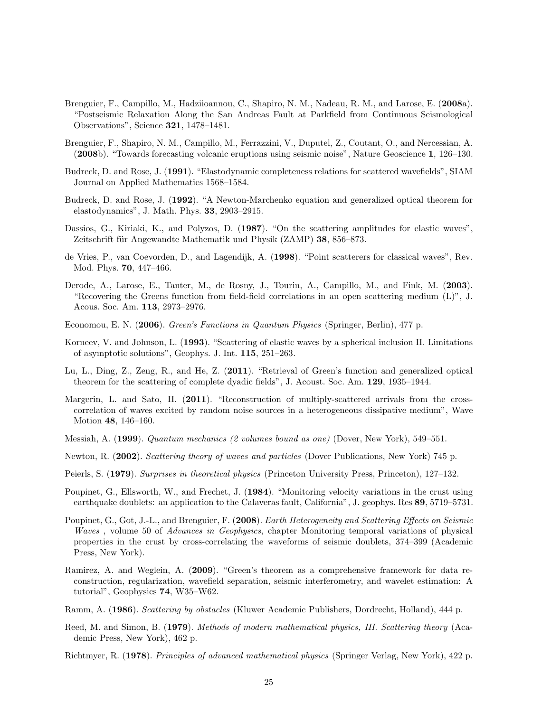- <span id="page-24-2"></span>Brenguier, F., Campillo, M., Hadziioannou, C., Shapiro, N. M., Nadeau, R. M., and Larose, E. (2008a). "Postseismic Relaxation Along the San Andreas Fault at Parkfield from Continuous Seismological Observations", Science 321, 1478–1481.
- <span id="page-24-3"></span>Brenguier, F., Shapiro, N. M., Campillo, M., Ferrazzini, V., Duputel, Z., Coutant, O., and Nercessian, A. (2008b). "Towards forecasting volcanic eruptions using seismic noise", Nature Geoscience 1, 126–130.
- <span id="page-24-8"></span>Budreck, D. and Rose, J. (1991). "Elastodynamic completeness relations for scattered wavefields", SIAM Journal on Applied Mathematics 1568–1584.
- <span id="page-24-14"></span>Budreck, D. and Rose, J. (1992). "A Newton-Marchenko equation and generalized optical theorem for elastodynamics", J. Math. Phys. 33, 2903–2915.
- <span id="page-24-11"></span>Dassios, G., Kiriaki, K., and Polyzos, D. (1987). "On the scattering amplitudes for elastic waves", Zeitschrift für Angewandte Mathematik und Physik (ZAMP) 38, 856–873.
- <span id="page-24-17"></span>de Vries, P., van Coevorden, D., and Lagendijk, A. (1998). "Point scatterers for classical waves", Rev. Mod. Phys. 70, 447–466.
- <span id="page-24-19"></span>Derode, A., Larose, E., Tanter, M., de Rosny, J., Tourin, A., Campillo, M., and Fink, M. (2003). "Recovering the Greens function from field-field correlations in an open scattering medium (L)", J. Acous. Soc. Am. 113, 2973–2976.
- <span id="page-24-10"></span>Economou, E. N. (2006). Green's Functions in Quantum Physics (Springer, Berlin), 477 p.
- <span id="page-24-18"></span>Korneev, V. and Johnson, L. (1993). "Scattering of elastic waves by a spherical inclusion II. Limitations of asymptotic solutions", Geophys. J. Int. 115, 251–263.
- <span id="page-24-5"></span>Lu, L., Ding, Z., Zeng, R., and He, Z. (2011). "Retrieval of Green's function and generalized optical theorem for the scattering of complete dyadic fields", J. Acoust. Soc. Am. 129, 1935–1944.
- <span id="page-24-6"></span>Margerin, L. and Sato, H. (2011). "Reconstruction of multiply-scattered arrivals from the crosscorrelation of waves excited by random noise sources in a heterogeneous dissipative medium", Wave Motion 48, 146–160.
- <span id="page-24-7"></span>Messiah, A. (1999). Quantum mechanics (2 volumes bound as one) (Dover, New York), 549–551.
- <span id="page-24-13"></span>Newton, R. (2002). Scattering theory of waves and particles (Dover Publications, New York) 745 p.
- <span id="page-24-12"></span>Peierls, S. (1979). Surprises in theoretical physics (Princeton University Press, Princeton), 127–132.
- <span id="page-24-0"></span>Poupinet, G., Ellsworth, W., and Frechet, J. (1984). "Monitoring velocity variations in the crust using earthquake doublets: an application to the Calaveras fault, California", J. geophys. Res 89, 5719–5731.
- <span id="page-24-1"></span>Poupinet, G., Got, J.-L., and Brenguier, F. (2008). Earth Heterogeneity and Scattering Effects on Seismic Waves , volume 50 of Advances in Geophysics, chapter Monitoring temporal variations of physical properties in the crust by cross-correlating the waveforms of seismic doublets, 374–399 (Academic Press, New York).
- <span id="page-24-4"></span>Ramirez, A. and Weglein, A. (2009). "Green's theorem as a comprehensive framework for data reconstruction, regularization, wavefield separation, seismic interferometry, and wavelet estimation: A tutorial", Geophysics 74, W35–W62.
- <span id="page-24-16"></span>Ramm, A. (1986). Scattering by obstacles (Kluwer Academic Publishers, Dordrecht, Holland), 444 p.
- <span id="page-24-15"></span>Reed, M. and Simon, B. (1979). Methods of modern mathematical physics, III. Scattering theory (Academic Press, New York), 462 p.
- <span id="page-24-9"></span>Richtmyer, R. (1978). Principles of advanced mathematical physics (Springer Verlag, New York), 422 p.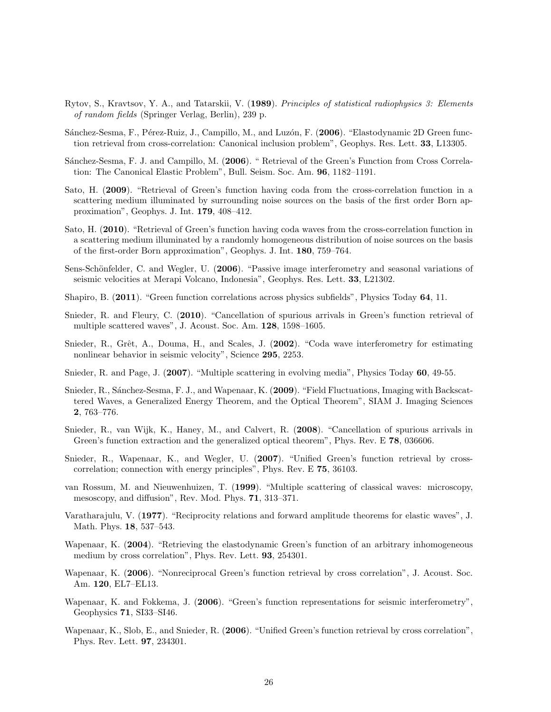- <span id="page-25-16"></span>Rytov, S., Kravtsov, Y. A., and Tatarskii, V. (1989). Principles of statistical radiophysics 3: Elements of random fields (Springer Verlag, Berlin), 239 p.
- <span id="page-25-10"></span>Sánchez-Sesma, F., Pérez-Ruiz, J., Campillo, M., and Luzón, F. (2006). "Elastodynamic 2D Green function retrieval from cross-correlation: Canonical inclusion problem", Geophys. Res. Lett. 33, L13305.
- <span id="page-25-9"></span>Sánchez-Sesma, F. J. and Campillo, M. (2006). " Retrieval of the Green's Function from Cross Correlation: The Canonical Elastic Problem", Bull. Seism. Soc. Am. 96, 1182–1191.
- <span id="page-25-11"></span>Sato, H. (2009). "Retrieval of Green's function having coda from the cross-correlation function in a scattering medium illuminated by surrounding noise sources on the basis of the first order Born approximation", Geophys. J. Int. 179, 408–412.
- <span id="page-25-12"></span>Sato, H. (2010). "Retrieval of Green's function having coda waves from the cross-correlation function in a scattering medium illuminated by a randomly homogeneous distribution of noise sources on the basis of the first-order Born approximation", Geophys. J. Int. 180, 759–764.
- <span id="page-25-2"></span>Sens-Schönfelder, C. and Wegler, U. (2006). "Passive image interferometry and seasonal variations of seismic velocities at Merapi Volcano, Indonesia", Geophys. Res. Lett. 33, L21302.
- <span id="page-25-3"></span>Shapiro, B. (2011). "Green function correlations across physics subfields", Physics Today 64, 11.
- <span id="page-25-15"></span>Snieder, R. and Fleury, C. (2010). "Cancellation of spurious arrivals in Green's function retrieval of multiple scattered waves", J. Acoust. Soc. Am. 128, 1598–1605.
- <span id="page-25-0"></span>Snieder, R., Grêt, A., Douma, H., and Scales, J. (2002). "Coda wave interferometry for estimating nonlinear behavior in seismic velocity", Science 295, 2253.
- <span id="page-25-1"></span>Snieder, R. and Page, J. (2007). "Multiple scattering in evolving media", Physics Today 60, 49-55.
- <span id="page-25-14"></span>Snieder, R., Sánchez-Sesma, F. J., and Wapenaar, K. (2009). "Field Fluctuations, Imaging with Backscattered Waves, a Generalized Energy Theorem, and the Optical Theorem", SIAM J. Imaging Sciences 2, 763–776.
- <span id="page-25-13"></span>Snieder, R., van Wijk, K., Haney, M., and Calvert, R. (2008). "Cancellation of spurious arrivals in Green's function extraction and the generalized optical theorem", Phys. Rev. E 78, 036606.
- <span id="page-25-5"></span>Snieder, R., Wapenaar, K., and Wegler, U. (2007). "Unified Green's function retrieval by crosscorrelation; connection with energy principles", Phys. Rev. E 75, 36103.
- <span id="page-25-18"></span>van Rossum, M. and Nieuwenhuizen, T. (1999). "Multiple scattering of classical waves: microscopy, mesoscopy, and diffusion", Rev. Mod. Phys. 71, 313–371.
- <span id="page-25-17"></span>Varatharajulu, V. (1977). "Reciprocity relations and forward amplitude theorems for elastic waves", J. Math. Phys. 18, 537–543.
- <span id="page-25-8"></span>Wapenaar, K. (2004). "Retrieving the elastodynamic Green's function of an arbitrary inhomogeneous medium by cross correlation", Phys. Rev. Lett. 93, 254301.
- <span id="page-25-6"></span>Wapenaar, K. (2006). "Nonreciprocal Green's function retrieval by cross correlation", J. Acoust. Soc. Am. 120, EL7–EL13.
- <span id="page-25-7"></span>Wapenaar, K. and Fokkema, J. (2006). "Green's function representations for seismic interferometry", Geophysics 71, SI33–SI46.
- <span id="page-25-4"></span>Wapenaar, K., Slob, E., and Snieder, R. (2006). "Unified Green's function retrieval by cross correlation", Phys. Rev. Lett. 97, 234301.